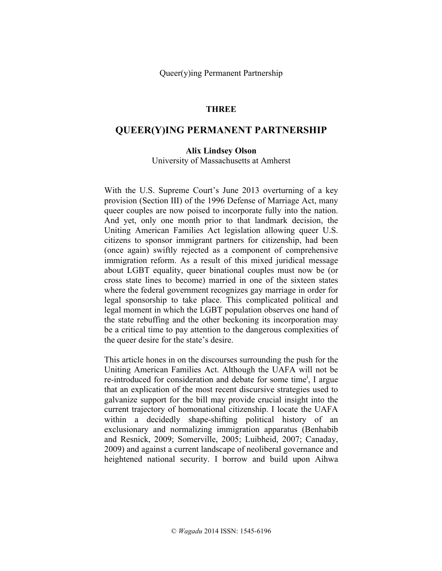## **THREE**

# **QUEER(Y)ING PERMANENT PARTNERSHIP**

#### **Alix Lindsey Olson**

University of Massachusetts at Amherst

With the U.S. Supreme Court's June 2013 overturning of a key provision (Section III) of the 1996 Defense of Marriage Act, many queer couples are now poised to incorporate fully into the nation. And yet, only one month prior to that landmark decision, the Uniting American Families Act legislation allowing queer U.S. citizens to sponsor immigrant partners for citizenship, had been (once again) swiftly rejected as a component of comprehensive immigration reform. As a result of this mixed juridical message about LGBT equality, queer binational couples must now be (or cross state lines to become) married in one of the sixteen states where the federal government recognizes gay marriage in order for legal sponsorship to take place. This complicated political and legal moment in which the LGBT population observes one hand of the state rebuffing and the other beckoning its incorporation may be a critical time to pay attention to the dangerous complexities of the queer desire for the state's desire.

This article hones in on the discourses surrounding the push for the Uniting American Families Act. Although the UAFA will not be re-introduced for consideration and debate for some time<sup>i</sup>, I argue that an explication of the most recent discursive strategies used to galvanize support for the bill may provide crucial insight into the current trajectory of homonational citizenship. I locate the UAFA within a decidedly shape-shifting political history of an exclusionary and normalizing immigration apparatus (Benhabib and Resnick, 2009; Somerville, 2005; Luibheid, 2007; Canaday, 2009) and against a current landscape of neoliberal governance and heightened national security. I borrow and build upon Aihwa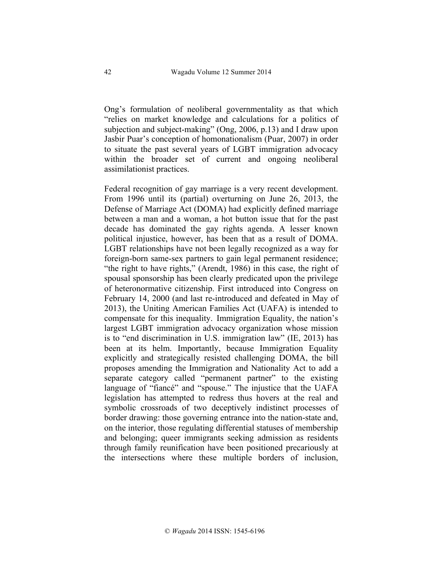Ong's formulation of neoliberal governmentality as that which "relies on market knowledge and calculations for a politics of subjection and subject-making" (Ong, 2006, p.13) and I draw upon Jasbir Puar's conception of homonationalism (Puar, 2007) in order to situate the past several years of LGBT immigration advocacy within the broader set of current and ongoing neoliberal assimilationist practices.

Federal recognition of gay marriage is a very recent development. From 1996 until its (partial) overturning on June 26, 2013, the Defense of Marriage Act (DOMA) had explicitly defined marriage between a man and a woman, a hot button issue that for the past decade has dominated the gay rights agenda. A lesser known political injustice, however, has been that as a result of DOMA. LGBT relationships have not been legally recognized as a way for foreign-born same-sex partners to gain legal permanent residence; "the right to have rights," (Arendt, 1986) in this case, the right of spousal sponsorship has been clearly predicated upon the privilege of heteronormative citizenship. First introduced into Congress on February 14, 2000 (and last re-introduced and defeated in May of 2013), the Uniting American Families Act (UAFA) is intended to compensate for this inequality. Immigration Equality, the nation's largest LGBT immigration advocacy organization whose mission is to "end discrimination in U.S. immigration law" (IE, 2013) has been at its helm. Importantly, because Immigration Equality explicitly and strategically resisted challenging DOMA, the bill proposes amending the Immigration and Nationality Act to add a separate category called "permanent partner" to the existing language of "fiancé" and "spouse." The injustice that the UAFA legislation has attempted to redress thus hovers at the real and symbolic crossroads of two deceptively indistinct processes of border drawing: those governing entrance into the nation-state and, on the interior, those regulating differential statuses of membership and belonging; queer immigrants seeking admission as residents through family reunification have been positioned precariously at the intersections where these multiple borders of inclusion,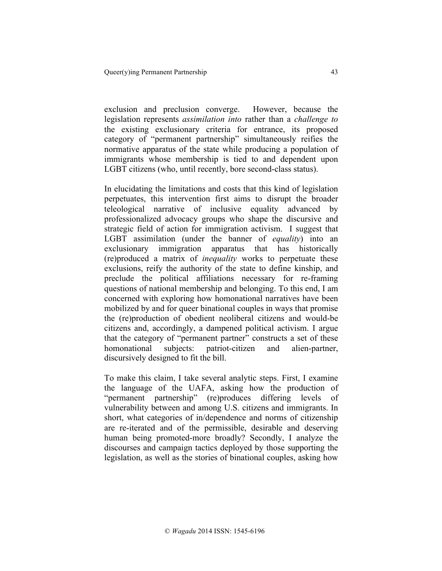exclusion and preclusion converge. However, because the legislation represents *assimilation into* rather than a *challenge to* the existing exclusionary criteria for entrance, its proposed category of "permanent partnership" simultaneously reifies the normative apparatus of the state while producing a population of immigrants whose membership is tied to and dependent upon LGBT citizens (who, until recently, bore second-class status).

In elucidating the limitations and costs that this kind of legislation perpetuates, this intervention first aims to disrupt the broader teleological narrative of inclusive equality advanced by professionalized advocacy groups who shape the discursive and strategic field of action for immigration activism. I suggest that LGBT assimilation (under the banner of *equality*) into an exclusionary immigration apparatus that has historically (re)produced a matrix of *inequality* works to perpetuate these exclusions, reify the authority of the state to define kinship, and preclude the political affiliations necessary for re-framing questions of national membership and belonging. To this end, I am concerned with exploring how homonational narratives have been mobilized by and for queer binational couples in ways that promise the (re)production of obedient neoliberal citizens and would-be citizens and, accordingly, a dampened political activism. I argue that the category of "permanent partner" constructs a set of these homonational subjects: patriot-citizen and alien-partner, discursively designed to fit the bill.

To make this claim, I take several analytic steps. First, I examine the language of the UAFA, asking how the production of "permanent partnership" (re)produces differing levels of vulnerability between and among U.S. citizens and immigrants. In short, what categories of in/dependence and norms of citizenship are re-iterated and of the permissible, desirable and deserving human being promoted-more broadly? Secondly, I analyze the discourses and campaign tactics deployed by those supporting the legislation, as well as the stories of binational couples, asking how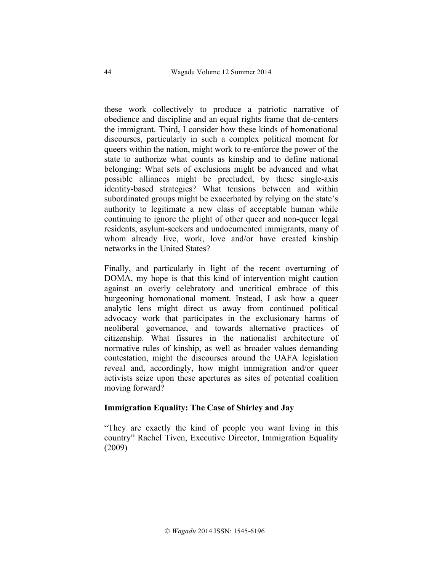these work collectively to produce a patriotic narrative of obedience and discipline and an equal rights frame that de-centers the immigrant. Third, I consider how these kinds of homonational discourses, particularly in such a complex political moment for queers within the nation, might work to re-enforce the power of the state to authorize what counts as kinship and to define national belonging: What sets of exclusions might be advanced and what possible alliances might be precluded, by these single-axis identity-based strategies? What tensions between and within subordinated groups might be exacerbated by relying on the state's authority to legitimate a new class of acceptable human while continuing to ignore the plight of other queer and non-queer legal residents, asylum-seekers and undocumented immigrants, many of whom already live, work, love and/or have created kinship networks in the United States?

Finally, and particularly in light of the recent overturning of DOMA, my hope is that this kind of intervention might caution against an overly celebratory and uncritical embrace of this burgeoning homonational moment. Instead, I ask how a queer analytic lens might direct us away from continued political advocacy work that participates in the exclusionary harms of neoliberal governance, and towards alternative practices of citizenship. What fissures in the nationalist architecture of normative rules of kinship, as well as broader values demanding contestation, might the discourses around the UAFA legislation reveal and, accordingly, how might immigration and/or queer activists seize upon these apertures as sites of potential coalition moving forward?

## **Immigration Equality: The Case of Shirley and Jay**

"They are exactly the kind of people you want living in this country" Rachel Tiven, Executive Director, Immigration Equality (2009)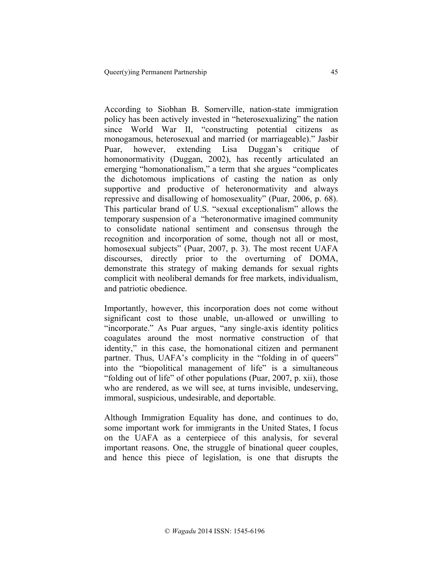According to Siobhan B. Somerville, nation-state immigration policy has been actively invested in "heterosexualizing" the nation since World War II, "constructing potential citizens as monogamous, heterosexual and married (or marriageable)." Jasbir Puar, however, extending Lisa Duggan's critique of homonormativity (Duggan, 2002), has recently articulated an emerging "homonationalism," a term that she argues "complicates the dichotomous implications of casting the nation as only supportive and productive of heteronormativity and always repressive and disallowing of homosexuality" (Puar, 2006, p. 68). This particular brand of U.S. "sexual exceptionalism" allows the temporary suspension of a "heteronormative imagined community to consolidate national sentiment and consensus through the recognition and incorporation of some, though not all or most, homosexual subjects" (Puar, 2007, p. 3). The most recent UAFA discourses, directly prior to the overturning of DOMA, demonstrate this strategy of making demands for sexual rights complicit with neoliberal demands for free markets, individualism, and patriotic obedience.

Importantly, however, this incorporation does not come without significant cost to those unable, un-allowed or unwilling to "incorporate." As Puar argues, "any single-axis identity politics coagulates around the most normative construction of that identity," in this case, the homonational citizen and permanent partner. Thus, UAFA's complicity in the "folding in of queers" into the "biopolitical management of life" is a simultaneous "folding out of life" of other populations (Puar, 2007, p. xii), those who are rendered, as we will see, at turns invisible, undeserving, immoral, suspicious, undesirable, and deportable.

Although Immigration Equality has done, and continues to do, some important work for immigrants in the United States, I focus on the UAFA as a centerpiece of this analysis, for several important reasons. One, the struggle of binational queer couples, and hence this piece of legislation, is one that disrupts the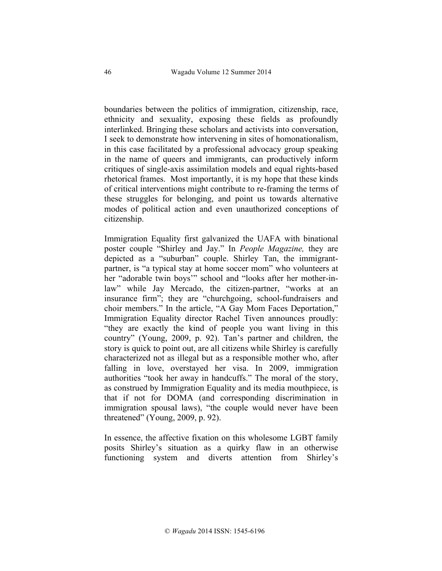boundaries between the politics of immigration, citizenship, race, ethnicity and sexuality, exposing these fields as profoundly interlinked. Bringing these scholars and activists into conversation, I seek to demonstrate how intervening in sites of homonationalism, in this case facilitated by a professional advocacy group speaking in the name of queers and immigrants, can productively inform critiques of single-axis assimilation models and equal rights-based rhetorical frames. Most importantly, it is my hope that these kinds of critical interventions might contribute to re-framing the terms of these struggles for belonging, and point us towards alternative modes of political action and even unauthorized conceptions of citizenship.

Immigration Equality first galvanized the UAFA with binational poster couple "Shirley and Jay." In *People Magazine,* they are depicted as a "suburban" couple. Shirley Tan, the immigrantpartner, is "a typical stay at home soccer mom" who volunteers at her "adorable twin boys'" school and "looks after her mother-inlaw" while Jay Mercado, the citizen-partner, "works at an insurance firm"; they are "churchgoing, school-fundraisers and choir members." In the article, "A Gay Mom Faces Deportation," Immigration Equality director Rachel Tiven announces proudly: "they are exactly the kind of people you want living in this country" (Young, 2009, p. 92). Tan's partner and children, the story is quick to point out, are all citizens while Shirley is carefully characterized not as illegal but as a responsible mother who, after falling in love, overstayed her visa. In 2009, immigration authorities "took her away in handcuffs." The moral of the story, as construed by Immigration Equality and its media mouthpiece, is that if not for DOMA (and corresponding discrimination in immigration spousal laws), "the couple would never have been threatened" (Young, 2009, p. 92).

In essence, the affective fixation on this wholesome LGBT family posits Shirley's situation as a quirky flaw in an otherwise functioning system and diverts attention from Shirley's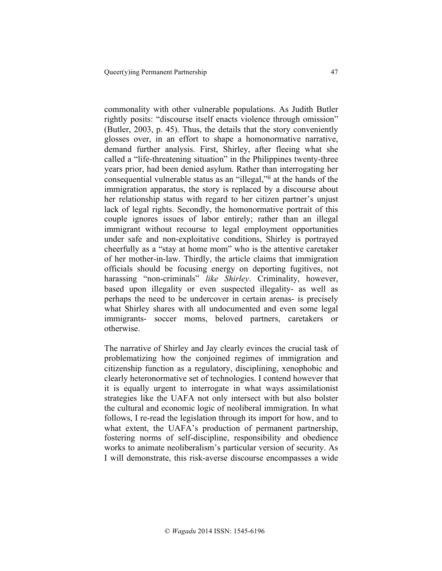commonality with other vulnerable populations. As Judith Butler rightly posits: "discourse itself enacts violence through omission" (Butler, 2003, p. 45). Thus, the details that the story conveniently glosses over, in an effort to shape a homonormative narrative, demand further analysis. First, Shirley, after fleeing what she called a "life-threatening situation" in the Philippines twenty-three years prior, had been denied asylum. Rather than interrogating her consequential vulnerable status as an "illegal,"ii at the hands of the immigration apparatus, the story is replaced by a discourse about her relationship status with regard to her citizen partner's unjust lack of legal rights. Secondly, the homonormative portrait of this couple ignores issues of labor entirely; rather than an illegal immigrant without recourse to legal employment opportunities under safe and non-exploitative conditions, Shirley is portrayed cheerfully as a "stay at home mom" who is the attentive caretaker of her mother-in-law. Thirdly, the article claims that immigration officials should be focusing energy on deporting fugitives, not harassing "non-criminals" *like Shirley*. Criminality, however, based upon illegality or even suspected illegality- as well as perhaps the need to be undercover in certain arenas- is precisely what Shirley shares with all undocumented and even some legal immigrants- soccer moms, beloved partners, caretakers or otherwise.

The narrative of Shirley and Jay clearly evinces the crucial task of problematizing how the conjoined regimes of immigration and citizenship function as a regulatory, disciplining, xenophobic and clearly heteronormative set of technologies. I contend however that it is equally urgent to interrogate in what ways assimilationist strategies like the UAFA not only intersect with but also bolster the cultural and economic logic of neoliberal immigration. In what follows, I re-read the legislation through its import for how, and to what extent, the UAFA's production of permanent partnership, fostering norms of self-discipline, responsibility and obedience works to animate neoliberalism's particular version of security. As I will demonstrate, this risk-averse discourse encompasses a wide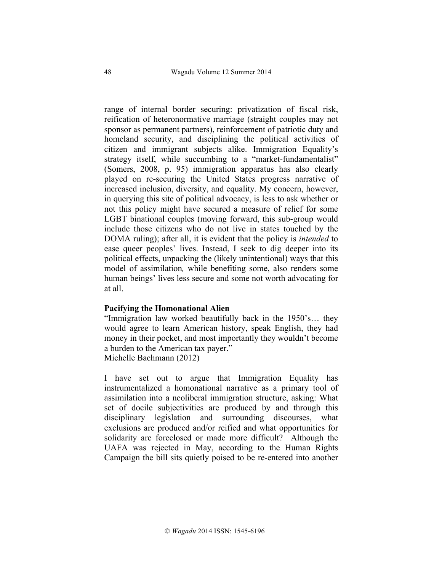range of internal border securing: privatization of fiscal risk, reification of heteronormative marriage (straight couples may not sponsor as permanent partners), reinforcement of patriotic duty and homeland security, and disciplining the political activities of citizen and immigrant subjects alike. Immigration Equality's strategy itself, while succumbing to a "market-fundamentalist" (Somers, 2008, p. 95) immigration apparatus has also clearly played on re-securing the United States progress narrative of increased inclusion, diversity, and equality. My concern, however, in querying this site of political advocacy, is less to ask whether or not this policy might have secured a measure of relief for some LGBT binational couples (moving forward, this sub-group would include those citizens who do not live in states touched by the DOMA ruling); after all, it is evident that the policy is *intended* to ease queer peoples' lives. Instead, I seek to dig deeper into its political effects, unpacking the (likely unintentional) ways that this model of assimilation*,* while benefiting some, also renders some human beings' lives less secure and some not worth advocating for at all.

#### **Pacifying the Homonational Alien**

"Immigration law worked beautifully back in the 1950's… they would agree to learn American history, speak English, they had money in their pocket, and most importantly they wouldn't become a burden to the American tax payer." Michelle Bachmann (2012)

I have set out to argue that Immigration Equality has instrumentalized a homonational narrative as a primary tool of assimilation into a neoliberal immigration structure, asking: What set of docile subjectivities are produced by and through this disciplinary legislation and surrounding discourses, what exclusions are produced and/or reified and what opportunities for solidarity are foreclosed or made more difficult? Although the UAFA was rejected in May, according to the Human Rights Campaign the bill sits quietly poised to be re-entered into another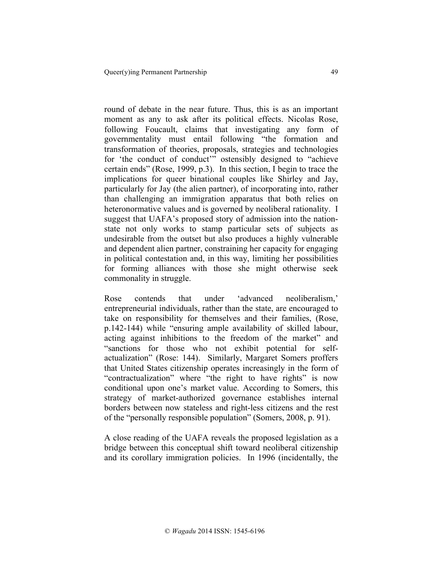round of debate in the near future. Thus, this is as an important moment as any to ask after its political effects. Nicolas Rose, following Foucault, claims that investigating any form of governmentality must entail following "the formation and transformation of theories, proposals, strategies and technologies for 'the conduct of conduct'" ostensibly designed to "achieve certain ends" (Rose, 1999, p.3). In this section, I begin to trace the implications for queer binational couples like Shirley and Jay, particularly for Jay (the alien partner), of incorporating into, rather than challenging an immigration apparatus that both relies on heteronormative values and is governed by neoliberal rationality. I suggest that UAFA's proposed story of admission into the nationstate not only works to stamp particular sets of subjects as undesirable from the outset but also produces a highly vulnerable and dependent alien partner, constraining her capacity for engaging in political contestation and, in this way, limiting her possibilities for forming alliances with those she might otherwise seek commonality in struggle.

Rose contends that under 'advanced neoliberalism,' entrepreneurial individuals, rather than the state, are encouraged to take on responsibility for themselves and their families, (Rose, p.142-144) while "ensuring ample availability of skilled labour, acting against inhibitions to the freedom of the market" and "sanctions for those who not exhibit potential for selfactualization" (Rose: 144). Similarly, Margaret Somers proffers that United States citizenship operates increasingly in the form of "contractualization" where "the right to have rights" is now conditional upon one's market value. According to Somers, this strategy of market-authorized governance establishes internal borders between now stateless and right-less citizens and the rest of the "personally responsible population" (Somers, 2008, p. 91).

A close reading of the UAFA reveals the proposed legislation as a bridge between this conceptual shift toward neoliberal citizenship and its corollary immigration policies. In 1996 (incidentally, the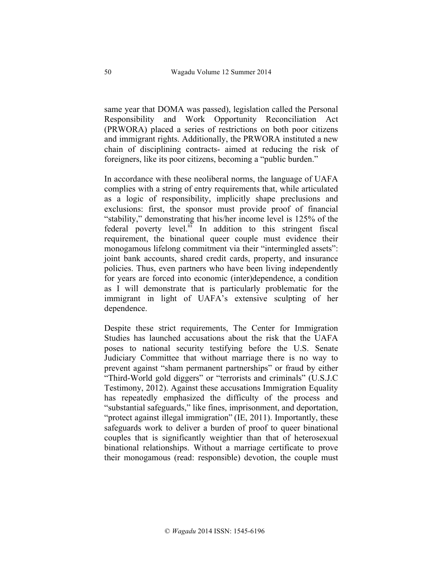same year that DOMA was passed), legislation called the Personal Responsibility and Work Opportunity Reconciliation Act (PRWORA) placed a series of restrictions on both poor citizens and immigrant rights. Additionally, the PRWORA instituted a new chain of disciplining contracts- aimed at reducing the risk of foreigners, like its poor citizens, becoming a "public burden."

In accordance with these neoliberal norms, the language of UAFA complies with a string of entry requirements that, while articulated as a logic of responsibility, implicitly shape preclusions and exclusions: first, the sponsor must provide proof of financial "stability," demonstrating that his/her income level is 125% of the federal poverty level. $\overline{ii}$  In addition to this stringent fiscal requirement, the binational queer couple must evidence their monogamous lifelong commitment via their "intermingled assets": joint bank accounts, shared credit cards, property, and insurance policies. Thus, even partners who have been living independently for years are forced into economic (inter)dependence, a condition as I will demonstrate that is particularly problematic for the immigrant in light of UAFA's extensive sculpting of her dependence.

Despite these strict requirements, The Center for Immigration Studies has launched accusations about the risk that the UAFA poses to national security testifying before the U.S. Senate Judiciary Committee that without marriage there is no way to prevent against "sham permanent partnerships" or fraud by either "Third-World gold diggers" or "terrorists and criminals" (U.S.J.C Testimony, 2012). Against these accusations Immigration Equality has repeatedly emphasized the difficulty of the process and "substantial safeguards," like fines, imprisonment, and deportation, "protect against illegal immigration" (IE, 2011). Importantly, these safeguards work to deliver a burden of proof to queer binational couples that is significantly weightier than that of heterosexual binational relationships. Without a marriage certificate to prove their monogamous (read: responsible) devotion, the couple must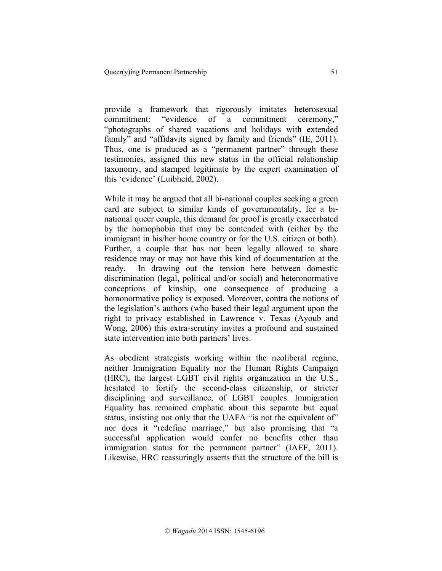provide a framework that rigorously imitates heterosexual commitment: "evidence of a commitment ceremony," "photographs of shared vacations and holidays with extended family" and "affidavits signed by family and friends" (IE, 2011). Thus, one is produced as a "permanent partner" through these testimonies, assigned this new status in the official relationship taxonomy, and stamped legitimate by the expert examination of this 'evidence' (Luibheid, 2002).

While it may be argued that all bi-national couples seeking a green card are subject to similar kinds of governmentality, for a binational queer couple, this demand for proof is greatly exacerbated by the homophobia that may be contended with (either by the immigrant in his/her home country or for the U.S. citizen or both). Further, a couple that has not been legally allowed to share residence may or may not have this kind of documentation at the ready. In drawing out the tension here between domestic discrimination (legal, political and/or social) and heteronormative conceptions of kinship, one consequence of producing a homonormative policy is exposed. Moreover, contra the notions of the legislation's authors (who based their legal argument upon the right to privacy established in Lawrence v. Texas (Ayoub and Wong, 2006) this extra-scrutiny invites a profound and sustained state intervention into both partners' lives.

As obedient strategists working within the neoliberal regime, neither Immigration Equality nor the Human Rights Campaign (HRC), the largest LGBT civil rights organization in the U.S., hesitated to fortify the second-class citizenship, or stricter disciplining and surveillance, of LGBT couples. Immigration Equality has remained emphatic about this separate but equal status, insisting not only that the UAFA "is not the equivalent of" nor does it "redefine marriage," but also promising that "a successful application would confer no benefits other than immigration status for the permanent partner" (IAEF, 2011). Likewise, HRC reassuringly asserts that the structure of the bill is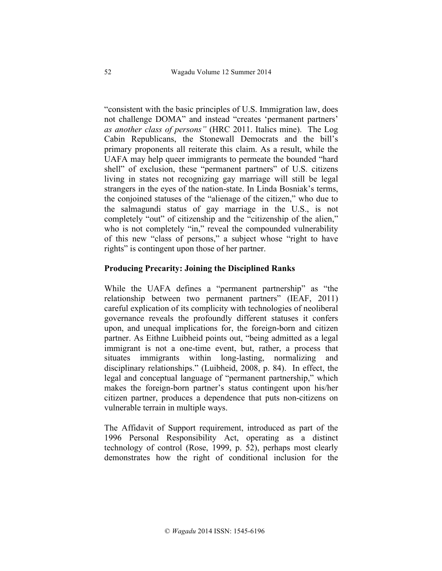"consistent with the basic principles of U.S. Immigration law, does not challenge DOMA" and instead "creates 'permanent partners' *as another class of persons"* (HRC 2011. Italics mine). The Log Cabin Republicans, the Stonewall Democrats and the bill's primary proponents all reiterate this claim. As a result, while the UAFA may help queer immigrants to permeate the bounded "hard shell" of exclusion, these "permanent partners" of U.S. citizens living in states not recognizing gay marriage will still be legal strangers in the eyes of the nation-state. In Linda Bosniak's terms, the conjoined statuses of the "alienage of the citizen," who due to the salmagundi status of gay marriage in the U.S., is not completely "out" of citizenship and the "citizenship of the alien," who is not completely "in," reveal the compounded vulnerability of this new "class of persons," a subject whose "right to have rights" is contingent upon those of her partner.

### **Producing Precarity: Joining the Disciplined Ranks**

While the UAFA defines a "permanent partnership" as "the relationship between two permanent partners" (IEAF, 2011) careful explication of its complicity with technologies of neoliberal governance reveals the profoundly different statuses it confers upon, and unequal implications for, the foreign-born and citizen partner. As Eithne Luibheid points out, "being admitted as a legal immigrant is not a one-time event, but, rather, a process that situates immigrants within long-lasting, normalizing and disciplinary relationships." (Luibheid, 2008, p. 84). In effect, the legal and conceptual language of "permanent partnership," which makes the foreign-born partner's status contingent upon his/her citizen partner, produces a dependence that puts non-citizens on vulnerable terrain in multiple ways.

The Affidavit of Support requirement, introduced as part of the 1996 Personal Responsibility Act, operating as a distinct technology of control (Rose, 1999, p. 52), perhaps most clearly demonstrates how the right of conditional inclusion for the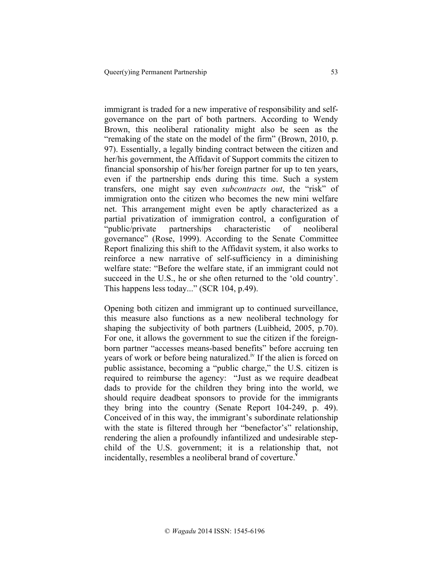immigrant is traded for a new imperative of responsibility and selfgovernance on the part of both partners. According to Wendy Brown, this neoliberal rationality might also be seen as the "remaking of the state on the model of the firm" (Brown, 2010, p. 97). Essentially, a legally binding contract between the citizen and her/his government, the Affidavit of Support commits the citizen to financial sponsorship of his/her foreign partner for up to ten years, even if the partnership ends during this time. Such a system transfers, one might say even *subcontracts out*, the "risk" of immigration onto the citizen who becomes the new mini welfare net. This arrangement might even be aptly characterized as a partial privatization of immigration control, a configuration of "public/private partnerships characteristic of neoliberal governance" (Rose, 1999). According to the Senate Committee Report finalizing this shift to the Affidavit system, it also works to reinforce a new narrative of self-sufficiency in a diminishing welfare state: "Before the welfare state, if an immigrant could not succeed in the U.S., he or she often returned to the 'old country'. This happens less today..." (SCR 104, p.49).

Opening both citizen and immigrant up to continued surveillance, this measure also functions as a new neoliberal technology for shaping the subjectivity of both partners (Luibheid, 2005, p.70). For one, it allows the government to sue the citizen if the foreignborn partner "accesses means-based benefits" before accruing ten years of work or before being naturalized.<sup>iv</sup> If the alien is forced on public assistance, becoming a "public charge," the U.S. citizen is required to reimburse the agency: "Just as we require deadbeat dads to provide for the children they bring into the world, we should require deadbeat sponsors to provide for the immigrants they bring into the country (Senate Report 104-249, p. 49). Conceived of in this way, the immigrant's subordinate relationship with the state is filtered through her "benefactor's" relationship, rendering the alien a profoundly infantilized and undesirable stepchild of the U.S. government; it is a relationship that, not incidentally, resembles a neoliberal brand of coverture.**<sup>v</sup>**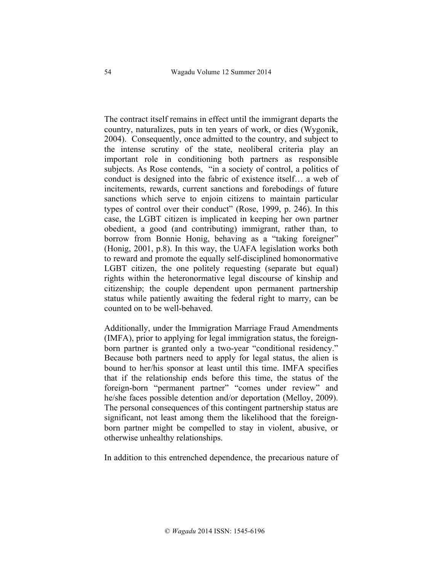The contract itself remains in effect until the immigrant departs the country, naturalizes, puts in ten years of work, or dies (Wygonik, 2004). Consequently, once admitted to the country, and subject to the intense scrutiny of the state, neoliberal criteria play an important role in conditioning both partners as responsible subjects. As Rose contends, "in a society of control, a politics of conduct is designed into the fabric of existence itself… a web of incitements, rewards, current sanctions and forebodings of future sanctions which serve to enjoin citizens to maintain particular types of control over their conduct" (Rose, 1999, p. 246). In this case, the LGBT citizen is implicated in keeping her own partner obedient, a good (and contributing) immigrant, rather than, to borrow from Bonnie Honig, behaving as a "taking foreigner" (Honig, 2001, p.8). In this way, the UAFA legislation works both to reward and promote the equally self-disciplined homonormative LGBT citizen, the one politely requesting (separate but equal) rights within the heteronormative legal discourse of kinship and citizenship; the couple dependent upon permanent partnership status while patiently awaiting the federal right to marry, can be counted on to be well-behaved.

Additionally, under the Immigration Marriage Fraud Amendments (IMFA), prior to applying for legal immigration status, the foreignborn partner is granted only a two-year "conditional residency." Because both partners need to apply for legal status, the alien is bound to her/his sponsor at least until this time. IMFA specifies that if the relationship ends before this time, the status of the foreign-born "permanent partner" "comes under review" and he/she faces possible detention and/or deportation (Melloy, 2009). The personal consequences of this contingent partnership status are significant, not least among them the likelihood that the foreignborn partner might be compelled to stay in violent, abusive, or otherwise unhealthy relationships.

In addition to this entrenched dependence, the precarious nature of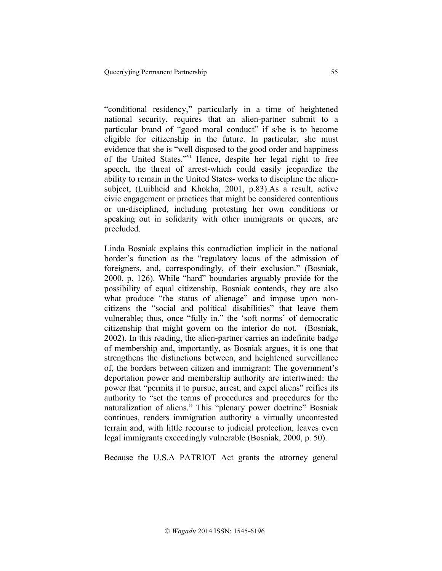"conditional residency," particularly in a time of heightened national security, requires that an alien-partner submit to a particular brand of "good moral conduct" if s/he is to become eligible for citizenship in the future. In particular, she must evidence that she is "well disposed to the good order and happiness of the United States."vi Hence, despite her legal right to free speech, the threat of arrest-which could easily jeopardize the ability to remain in the United States- works to discipline the aliensubject, (Luibheid and Khokha, 2001, p.83).As a result, active civic engagement or practices that might be considered contentious or un-disciplined, including protesting her own conditions or speaking out in solidarity with other immigrants or queers, are precluded.

Linda Bosniak explains this contradiction implicit in the national border's function as the "regulatory locus of the admission of foreigners, and, correspondingly, of their exclusion." (Bosniak, 2000, p. 126). While "hard" boundaries arguably provide for the possibility of equal citizenship, Bosniak contends, they are also what produce "the status of alienage" and impose upon noncitizens the "social and political disabilities" that leave them vulnerable; thus, once "fully in," the 'soft norms' of democratic citizenship that might govern on the interior do not. (Bosniak, 2002). In this reading, the alien-partner carries an indefinite badge of membership and, importantly, as Bosniak argues, it is one that strengthens the distinctions between, and heightened surveillance of, the borders between citizen and immigrant: The government's deportation power and membership authority are intertwined: the power that "permits it to pursue, arrest, and expel aliens" reifies its authority to "set the terms of procedures and procedures for the naturalization of aliens." This "plenary power doctrine" Bosniak continues, renders immigration authority a virtually uncontested terrain and, with little recourse to judicial protection, leaves even legal immigrants exceedingly vulnerable (Bosniak, 2000, p. 50).

Because the U.S.A PATRIOT Act grants the attorney general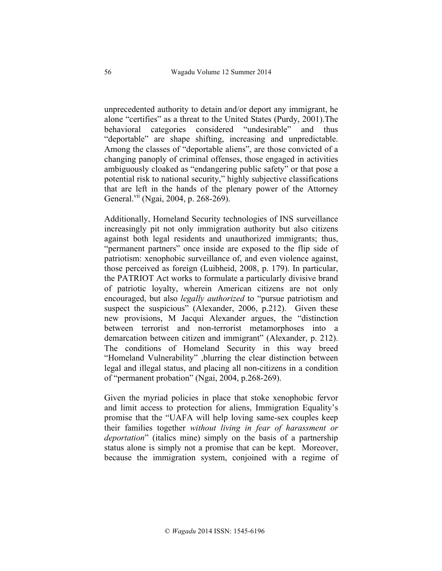unprecedented authority to detain and/or deport any immigrant, he alone "certifies" as a threat to the United States (Purdy, 2001).The behavioral categories considered "undesirable" and thus "deportable" are shape shifting, increasing and unpredictable. Among the classes of "deportable aliens", are those convicted of a changing panoply of criminal offenses, those engaged in activities ambiguously cloaked as "endangering public safety" or that pose a potential risk to national security," highly subjective classifications that are left in the hands of the plenary power of the Attorney General.<sup>vii</sup> (Ngai, 2004, p. 268-269).

Additionally, Homeland Security technologies of INS surveillance increasingly pit not only immigration authority but also citizens against both legal residents and unauthorized immigrants; thus, "permanent partners" once inside are exposed to the flip side of patriotism: xenophobic surveillance of, and even violence against, those perceived as foreign (Luibheid, 2008, p. 179). In particular, the PATRIOT Act works to formulate a particularly divisive brand of patriotic loyalty, wherein American citizens are not only encouraged, but also *legally authorized* to "pursue patriotism and suspect the suspicious" (Alexander, 2006, p.212). Given these new provisions, M Jacqui Alexander argues, the "distinction between terrorist and non-terrorist metamorphoses into a demarcation between citizen and immigrant" (Alexander, p. 212). The conditions of Homeland Security in this way breed "Homeland Vulnerability" ,blurring the clear distinction between legal and illegal status, and placing all non-citizens in a condition of "permanent probation" (Ngai, 2004, p.268-269).

Given the myriad policies in place that stoke xenophobic fervor and limit access to protection for aliens, Immigration Equality's promise that the "UAFA will help loving same-sex couples keep their families together *without living in fear of harassment or deportation*" (italics mine) simply on the basis of a partnership status alone is simply not a promise that can be kept. Moreover, because the immigration system, conjoined with a regime of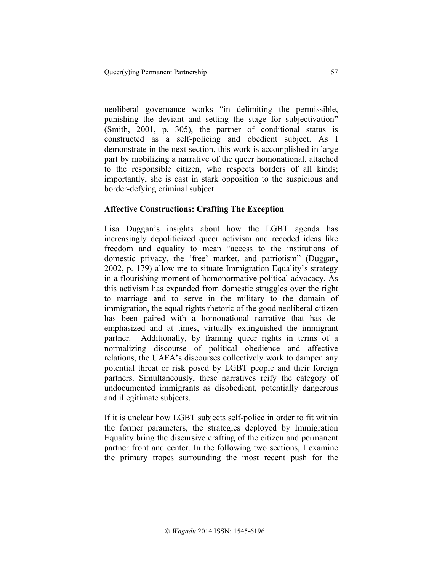neoliberal governance works "in delimiting the permissible, punishing the deviant and setting the stage for subjectivation" (Smith, 2001, p. 305), the partner of conditional status is constructed as a self-policing and obedient subject. As I demonstrate in the next section, this work is accomplished in large part by mobilizing a narrative of the queer homonational, attached to the responsible citizen, who respects borders of all kinds; importantly, she is cast in stark opposition to the suspicious and border-defying criminal subject.

## **Affective Constructions: Crafting The Exception**

Lisa Duggan's insights about how the LGBT agenda has increasingly depoliticized queer activism and recoded ideas like freedom and equality to mean "access to the institutions of domestic privacy, the 'free' market, and patriotism" (Duggan, 2002, p. 179) allow me to situate Immigration Equality's strategy in a flourishing moment of homonormative political advocacy. As this activism has expanded from domestic struggles over the right to marriage and to serve in the military to the domain of immigration, the equal rights rhetoric of the good neoliberal citizen has been paired with a homonational narrative that has deemphasized and at times, virtually extinguished the immigrant partner. Additionally, by framing queer rights in terms of a normalizing discourse of political obedience and affective relations, the UAFA's discourses collectively work to dampen any potential threat or risk posed by LGBT people and their foreign partners. Simultaneously, these narratives reify the category of undocumented immigrants as disobedient, potentially dangerous and illegitimate subjects.

If it is unclear how LGBT subjects self-police in order to fit within the former parameters, the strategies deployed by Immigration Equality bring the discursive crafting of the citizen and permanent partner front and center. In the following two sections, I examine the primary tropes surrounding the most recent push for the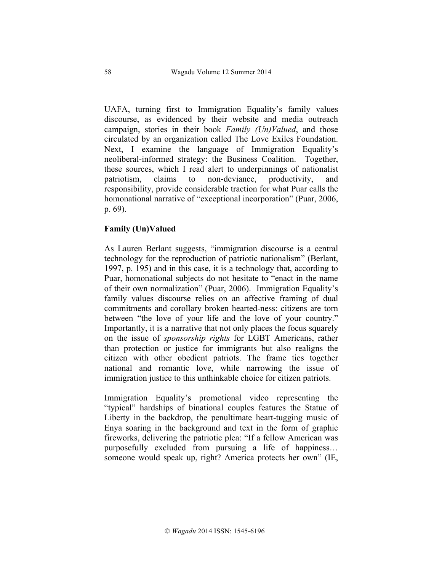UAFA, turning first to Immigration Equality's family values discourse, as evidenced by their website and media outreach campaign, stories in their book *Family (Un)Valued*, and those circulated by an organization called The Love Exiles Foundation. Next, I examine the language of Immigration Equality's neoliberal-informed strategy: the Business Coalition. Together, these sources, which I read alert to underpinnings of nationalist patriotism, claims to non-deviance, productivity, and responsibility, provide considerable traction for what Puar calls the homonational narrative of "exceptional incorporation" (Puar, 2006, p. 69).

## **Family (Un)Valued**

As Lauren Berlant suggests, "immigration discourse is a central technology for the reproduction of patriotic nationalism" (Berlant, 1997, p. 195) and in this case, it is a technology that, according to Puar, homonational subjects do not hesitate to "enact in the name of their own normalization" (Puar, 2006). Immigration Equality's family values discourse relies on an affective framing of dual commitments and corollary broken hearted-ness: citizens are torn between "the love of your life and the love of your country." Importantly, it is a narrative that not only places the focus squarely on the issue of *sponsorship rights* for LGBT Americans, rather than protection or justice for immigrants but also realigns the citizen with other obedient patriots. The frame ties together national and romantic love, while narrowing the issue of immigration justice to this unthinkable choice for citizen patriots.

Immigration Equality's promotional video representing the "typical" hardships of binational couples features the Statue of Liberty in the backdrop, the penultimate heart-tugging music of Enya soaring in the background and text in the form of graphic fireworks, delivering the patriotic plea: "If a fellow American was purposefully excluded from pursuing a life of happiness… someone would speak up, right? America protects her own" (IE,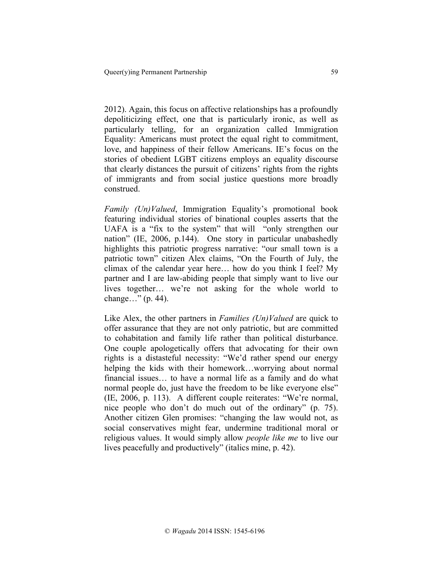2012). Again, this focus on affective relationships has a profoundly depoliticizing effect, one that is particularly ironic, as well as particularly telling, for an organization called Immigration Equality: Americans must protect the equal right to commitment, love, and happiness of their fellow Americans. IE's focus on the stories of obedient LGBT citizens employs an equality discourse that clearly distances the pursuit of citizens' rights from the rights of immigrants and from social justice questions more broadly construed.

*Family (Un)Valued*, Immigration Equality's promotional book featuring individual stories of binational couples asserts that the UAFA is a "fix to the system" that will "only strengthen our nation" (IE, 2006, p.144). One story in particular unabashedly highlights this patriotic progress narrative: "our small town is a patriotic town" citizen Alex claims, "On the Fourth of July, the climax of the calendar year here… how do you think I feel? My partner and I are law-abiding people that simply want to live our lives together… we're not asking for the whole world to change…" (p. 44).

Like Alex, the other partners in *Families (Un)Valued* are quick to offer assurance that they are not only patriotic, but are committed to cohabitation and family life rather than political disturbance. One couple apologetically offers that advocating for their own rights is a distasteful necessity: "We'd rather spend our energy helping the kids with their homework…worrying about normal financial issues… to have a normal life as a family and do what normal people do, just have the freedom to be like everyone else" (IE, 2006, p. 113). A different couple reiterates: "We're normal, nice people who don't do much out of the ordinary" (p. 75). Another citizen Glen promises: "changing the law would not, as social conservatives might fear, undermine traditional moral or religious values. It would simply allow *people like me* to live our lives peacefully and productively" (italics mine, p. 42).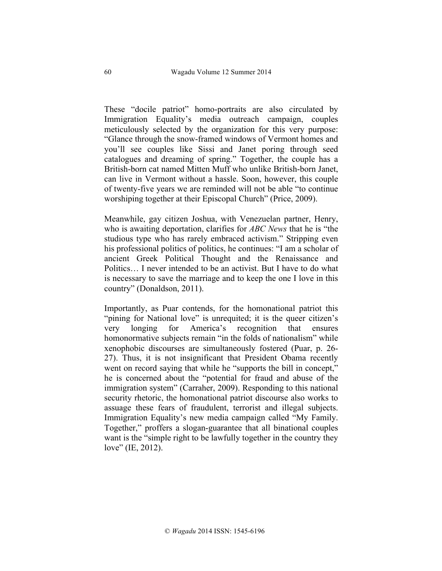These "docile patriot" homo-portraits are also circulated by Immigration Equality's media outreach campaign, couples meticulously selected by the organization for this very purpose: "Glance through the snow-framed windows of Vermont homes and you'll see couples like Sissi and Janet poring through seed catalogues and dreaming of spring." Together, the couple has a British-born cat named Mitten Muff who unlike British-born Janet, can live in Vermont without a hassle. Soon, however, this couple of twenty-five years we are reminded will not be able "to continue worshiping together at their Episcopal Church" (Price, 2009).

Meanwhile, gay citizen Joshua, with Venezuelan partner, Henry, who is awaiting deportation, clarifies for *ABC News* that he is "the studious type who has rarely embraced activism." Stripping even his professional politics of politics, he continues: "I am a scholar of ancient Greek Political Thought and the Renaissance and Politics… I never intended to be an activist. But I have to do what is necessary to save the marriage and to keep the one I love in this country" (Donaldson, 2011).

Importantly, as Puar contends, for the homonational patriot this "pining for National love" is unrequited; it is the queer citizen's very longing for America's recognition that ensures homonormative subjects remain "in the folds of nationalism" while xenophobic discourses are simultaneously fostered (Puar, p. 26- 27). Thus, it is not insignificant that President Obama recently went on record saying that while he "supports the bill in concept," he is concerned about the "potential for fraud and abuse of the immigration system" (Carraher, 2009). Responding to this national security rhetoric, the homonational patriot discourse also works to assuage these fears of fraudulent, terrorist and illegal subjects. Immigration Equality's new media campaign called "My Family. Together," proffers a slogan-guarantee that all binational couples want is the "simple right to be lawfully together in the country they love" (IE, 2012).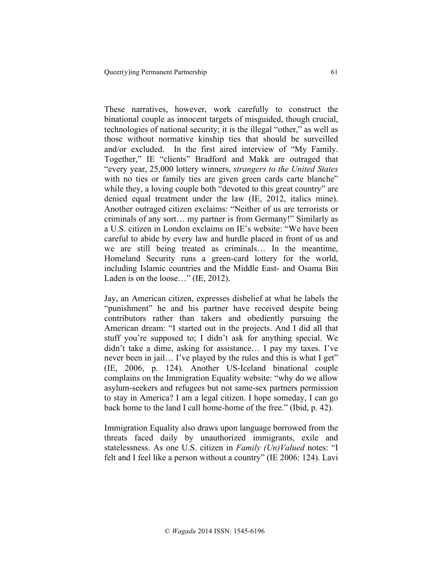These narratives, however, work carefully to construct the binational couple as innocent targets of misguided, though crucial, technologies of national security; it is the illegal "other," as well as those without normative kinship ties that should be surveilled and/or excluded. In the first aired interview of "My Family. Together," IE "clients" Bradford and Makk are outraged that "every year, 25,000 lottery winners, *strangers to the United States* with no ties or family ties are given green cards carte blanche" while they, a loving couple both "devoted to this great country" are denied equal treatment under the law (IE, 2012, italics mine). Another outraged citizen exclaims: "Neither of us are terrorists or criminals of any sort… my partner is from Germany!" Similarly as a U.S. citizen in London exclaims on IE's website: "We have been careful to abide by every law and hurdle placed in front of us and we are still being treated as criminals… In the meantime, Homeland Security runs a green-card lottery for the world, including Islamic countries and the Middle East- and Osama Bin Laden is on the loose..." (IE, 2012).

Jay, an American citizen, expresses disbelief at what he labels the "punishment" he and his partner have received despite being contributors rather than takers and obediently pursuing the American dream: "I started out in the projects. And I did all that stuff you're supposed to; I didn't ask for anything special. We didn't take a dime, asking for assistance… I pay my taxes. I've never been in jail... I've played by the rules and this is what I get" (IE, 2006, p. 124). Another US-Iceland binational couple complains on the Immigration Equality website: "why do we allow asylum-seekers and refugees but not same-sex partners permission to stay in America? I am a legal citizen. I hope someday, I can go back home to the land I call home-home of the free." (Ibid, p. 42).

Immigration Equality also draws upon language borrowed from the threats faced daily by unauthorized immigrants, exile and statelessness. As one U.S. citizen in *Family (Un)Valued* notes: "I felt and I feel like a person without a country" (IE 2006: 124). Lavi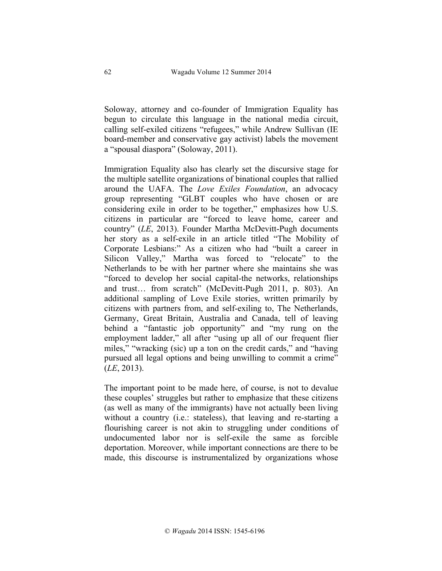Soloway, attorney and co-founder of Immigration Equality has begun to circulate this language in the national media circuit, calling self-exiled citizens "refugees," while Andrew Sullivan (IE board-member and conservative gay activist) labels the movement a "spousal diaspora" (Soloway, 2011).

Immigration Equality also has clearly set the discursive stage for the multiple satellite organizations of binational couples that rallied around the UAFA. The *Love Exiles Foundation*, an advocacy group representing "GLBT couples who have chosen or are considering exile in order to be together," emphasizes how U.S. citizens in particular are "forced to leave home, career and country" (*LE*, 2013). Founder Martha McDevitt-Pugh documents her story as a self-exile in an article titled "The Mobility of Corporate Lesbians:" As a citizen who had "built a career in Silicon Valley," Martha was forced to "relocate" to the Netherlands to be with her partner where she maintains she was "forced to develop her social capital-the networks, relationships and trust… from scratch" (McDevitt-Pugh 2011, p. 803). An additional sampling of Love Exile stories, written primarily by citizens with partners from, and self-exiling to, The Netherlands, Germany, Great Britain, Australia and Canada, tell of leaving behind a "fantastic job opportunity" and "my rung on the employment ladder," all after "using up all of our frequent flier miles," "wracking (sic) up a ton on the credit cards," and "having pursued all legal options and being unwilling to commit a crime" (*LE*, 2013).

The important point to be made here, of course, is not to devalue these couples' struggles but rather to emphasize that these citizens (as well as many of the immigrants) have not actually been living without a country (i.e.: stateless), that leaving and re-starting a flourishing career is not akin to struggling under conditions of undocumented labor nor is self-exile the same as forcible deportation. Moreover, while important connections are there to be made, this discourse is instrumentalized by organizations whose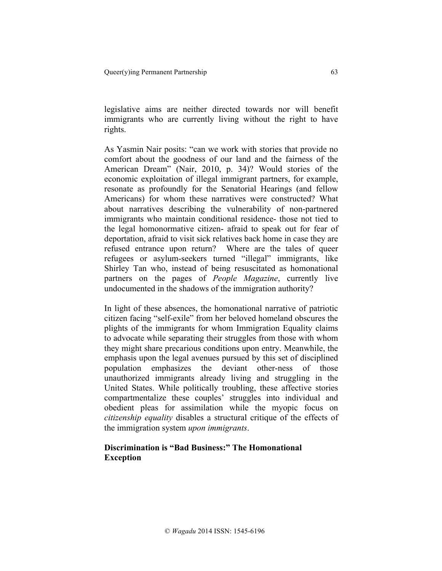legislative aims are neither directed towards nor will benefit immigrants who are currently living without the right to have rights.

As Yasmin Nair posits: "can we work with stories that provide no comfort about the goodness of our land and the fairness of the American Dream" (Nair, 2010, p. 34)? Would stories of the economic exploitation of illegal immigrant partners, for example, resonate as profoundly for the Senatorial Hearings (and fellow Americans) for whom these narratives were constructed? What about narratives describing the vulnerability of non-partnered immigrants who maintain conditional residence- those not tied to the legal homonormative citizen- afraid to speak out for fear of deportation, afraid to visit sick relatives back home in case they are refused entrance upon return? Where are the tales of queer refugees or asylum-seekers turned "illegal" immigrants, like Shirley Tan who, instead of being resuscitated as homonational partners on the pages of *People Magazine*, currently live undocumented in the shadows of the immigration authority?

In light of these absences, the homonational narrative of patriotic citizen facing "self-exile" from her beloved homeland obscures the plights of the immigrants for whom Immigration Equality claims to advocate while separating their struggles from those with whom they might share precarious conditions upon entry. Meanwhile, the emphasis upon the legal avenues pursued by this set of disciplined population emphasizes the deviant other-ness of those unauthorized immigrants already living and struggling in the United States. While politically troubling, these affective stories compartmentalize these couples' struggles into individual and obedient pleas for assimilation while the myopic focus on *citizenship equality* disables a structural critique of the effects of the immigration system *upon immigrants*.

# **Discrimination is "Bad Business:" The Homonational Exception**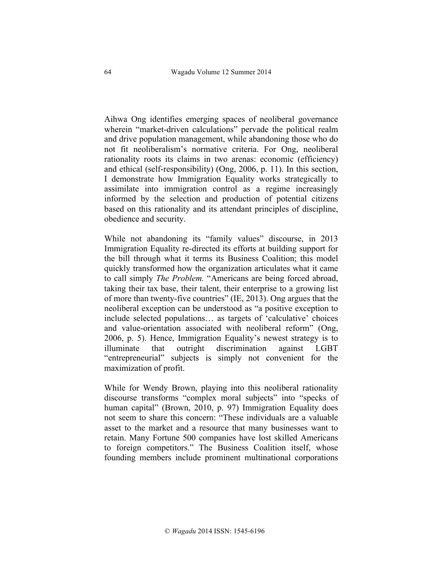Aihwa Ong identifies emerging spaces of neoliberal governance wherein "market-driven calculations" pervade the political realm and drive population management, while abandoning those who do not fit neoliberalism's normative criteria. For Ong, neoliberal rationality roots its claims in two arenas: economic (efficiency) and ethical (self-responsibility) (Ong, 2006, p. 11). In this section, I demonstrate how Immigration Equality works strategically to assimilate into immigration control as a regime increasingly informed by the selection and production of potential citizens based on this rationality and its attendant principles of discipline, obedience and security.

While not abandoning its "family values" discourse, in 2013 Immigration Equality re-directed its efforts at building support for the bill through what it terms its Business Coalition; this model quickly transformed how the organization articulates what it came to call simply *The Problem.* "Americans are being forced abroad, taking their tax base, their talent, their enterprise to a growing list of more than twenty-five countries" (IE, 2013). Ong argues that the neoliberal exception can be understood as "a positive exception to include selected populations… as targets of 'calculative' choices and value-orientation associated with neoliberal reform" (Ong, 2006, p. 5). Hence, Immigration Equality's newest strategy is to illuminate that outright discrimination against LGBT "entrepreneurial" subjects is simply not convenient for the maximization of profit.

While for Wendy Brown, playing into this neoliberal rationality discourse transforms "complex moral subjects" into "specks of human capital" (Brown, 2010, p. 97) Immigration Equality does not seem to share this concern: "These individuals are a valuable asset to the market and a resource that many businesses want to retain. Many Fortune 500 companies have lost skilled Americans to foreign competitors." The Business Coalition itself, whose founding members include prominent multinational corporations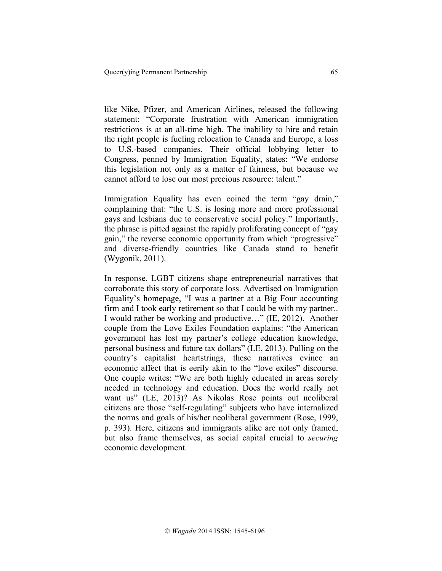like Nike, Pfizer, and American Airlines, released the following statement: "Corporate frustration with American immigration restrictions is at an all-time high. The inability to hire and retain the right people is fueling relocation to Canada and Europe, a loss to U.S.-based companies. Their official lobbying letter to Congress, penned by Immigration Equality, states: "We endorse this legislation not only as a matter of fairness, but because we cannot afford to lose our most precious resource: talent."

Immigration Equality has even coined the term "gay drain," complaining that: "the U.S. is losing more and more professional gays and lesbians due to conservative social policy." Importantly, the phrase is pitted against the rapidly proliferating concept of "gay gain," the reverse economic opportunity from which "progressive" and diverse-friendly countries like Canada stand to benefit (Wygonik, 2011).

In response, LGBT citizens shape entrepreneurial narratives that corroborate this story of corporate loss. Advertised on Immigration Equality's homepage, "I was a partner at a Big Four accounting firm and I took early retirement so that I could be with my partner.. I would rather be working and productive…" (IE, 2012). Another couple from the Love Exiles Foundation explains: "the American government has lost my partner's college education knowledge, personal business and future tax dollars" (LE, 2013). Pulling on the country's capitalist heartstrings, these narratives evince an economic affect that is eerily akin to the "love exiles" discourse. One couple writes: "We are both highly educated in areas sorely needed in technology and education. Does the world really not want us" (LE, 2013)? As Nikolas Rose points out neoliberal citizens are those "self-regulating" subjects who have internalized the norms and goals of his/her neoliberal government (Rose, 1999, p. 393). Here, citizens and immigrants alike are not only framed, but also frame themselves, as social capital crucial to *securing* economic development.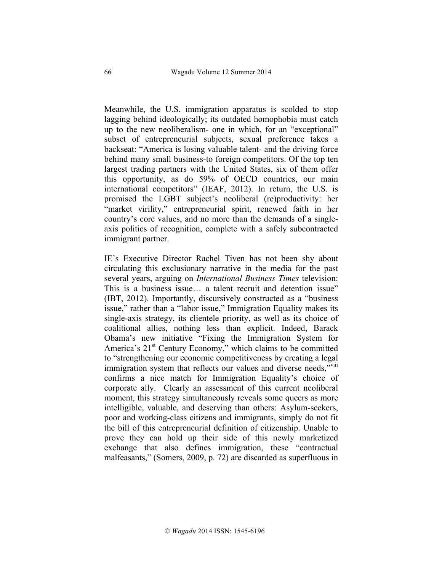Meanwhile, the U.S. immigration apparatus is scolded to stop lagging behind ideologically; its outdated homophobia must catch up to the new neoliberalism- one in which, for an "exceptional" subset of entrepreneurial subjects, sexual preference takes a backseat: "America is losing valuable talent- and the driving force behind many small business-to foreign competitors. Of the top ten largest trading partners with the United States, six of them offer this opportunity, as do 59% of OECD countries, our main international competitors" (IEAF, 2012). In return, the U.S. is promised the LGBT subject's neoliberal (re)productivity: her "market virility," entrepreneurial spirit, renewed faith in her country's core values, and no more than the demands of a singleaxis politics of recognition, complete with a safely subcontracted immigrant partner.

IE's Executive Director Rachel Tiven has not been shy about circulating this exclusionary narrative in the media for the past several years, arguing on *International Business Times* television: This is a business issue… a talent recruit and detention issue" (IBT, 2012). Importantly, discursively constructed as a "business issue," rather than a "labor issue," Immigration Equality makes its single-axis strategy, its clientele priority, as well as its choice of coalitional allies, nothing less than explicit. Indeed, Barack Obama's new initiative "Fixing the Immigration System for America's  $21<sup>st</sup>$  Century Economy," which claims to be committed to "strengthening our economic competitiveness by creating a legal immigration system that reflects our values and diverse needs,"VIII confirms a nice match for Immigration Equality's choice of corporate ally. Clearly an assessment of this current neoliberal moment, this strategy simultaneously reveals some queers as more intelligible, valuable, and deserving than others: Asylum-seekers, poor and working-class citizens and immigrants, simply do not fit the bill of this entrepreneurial definition of citizenship. Unable to prove they can hold up their side of this newly marketized exchange that also defines immigration, these "contractual malfeasants," (Somers, 2009, p. 72) are discarded as superfluous in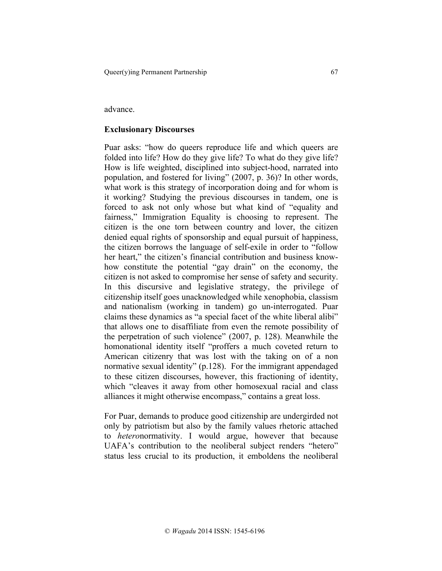#### advance.

#### **Exclusionary Discourses**

Puar asks: "how do queers reproduce life and which queers are folded into life? How do they give life? To what do they give life? How is life weighted, disciplined into subject-hood, narrated into population, and fostered for living" (2007, p. 36)? In other words, what work is this strategy of incorporation doing and for whom is it working? Studying the previous discourses in tandem, one is forced to ask not only whose but what kind of "equality and fairness," Immigration Equality is choosing to represent. The citizen is the one torn between country and lover, the citizen denied equal rights of sponsorship and equal pursuit of happiness, the citizen borrows the language of self-exile in order to "follow her heart," the citizen's financial contribution and business knowhow constitute the potential "gay drain" on the economy, the citizen is not asked to compromise her sense of safety and security. In this discursive and legislative strategy, the privilege of citizenship itself goes unacknowledged while xenophobia, classism and nationalism (working in tandem) go un-interrogated. Puar claims these dynamics as "a special facet of the white liberal alibi" that allows one to disaffiliate from even the remote possibility of the perpetration of such violence" (2007, p. 128). Meanwhile the homonational identity itself "proffers a much coveted return to American citizenry that was lost with the taking on of a non normative sexual identity" (p.128). For the immigrant appendaged to these citizen discourses, however, this fractioning of identity, which "cleaves it away from other homosexual racial and class alliances it might otherwise encompass," contains a great loss.

For Puar, demands to produce good citizenship are undergirded not only by patriotism but also by the family values rhetoric attached to *hetero*normativity. I would argue, however that because UAFA's contribution to the neoliberal subject renders "hetero" status less crucial to its production, it emboldens the neoliberal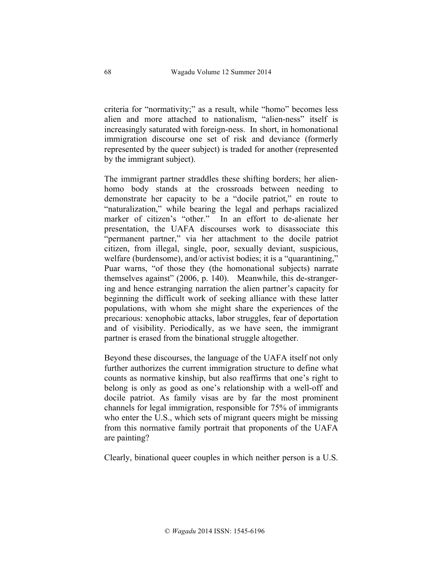criteria for "normativity;" as a result, while "homo" becomes less alien and more attached to nationalism, "alien-ness" itself is increasingly saturated with foreign-ness. In short, in homonational immigration discourse one set of risk and deviance (formerly represented by the queer subject) is traded for another (represented by the immigrant subject).

The immigrant partner straddles these shifting borders; her alienhomo body stands at the crossroads between needing to demonstrate her capacity to be a "docile patriot," en route to "naturalization," while bearing the legal and perhaps racialized marker of citizen's "other." In an effort to de-alienate her presentation, the UAFA discourses work to disassociate this "permanent partner," via her attachment to the docile patriot citizen, from illegal, single, poor, sexually deviant, suspicious, welfare (burdensome), and/or activist bodies; it is a "quarantining," Puar warns, "of those they (the homonational subjects) narrate themselves against" (2006, p. 140). Meanwhile, this de-strangering and hence estranging narration the alien partner's capacity for beginning the difficult work of seeking alliance with these latter populations, with whom she might share the experiences of the precarious: xenophobic attacks, labor struggles, fear of deportation and of visibility. Periodically, as we have seen, the immigrant partner is erased from the binational struggle altogether.

Beyond these discourses, the language of the UAFA itself not only further authorizes the current immigration structure to define what counts as normative kinship, but also reaffirms that one's right to belong is only as good as one's relationship with a well-off and docile patriot. As family visas are by far the most prominent channels for legal immigration, responsible for 75% of immigrants who enter the U.S., which sets of migrant queers might be missing from this normative family portrait that proponents of the UAFA are painting?

Clearly, binational queer couples in which neither person is a U.S.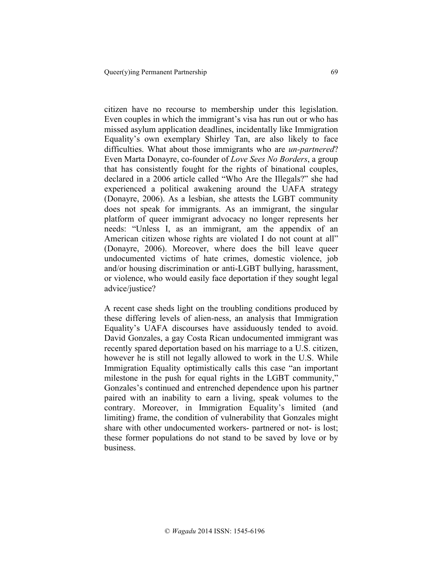citizen have no recourse to membership under this legislation. Even couples in which the immigrant's visa has run out or who has missed asylum application deadlines, incidentally like Immigration Equality's own exemplary Shirley Tan, are also likely to face difficulties. What about those immigrants who are *un-partnered*? Even Marta Donayre, co-founder of *Love Sees No Borders*, a group that has consistently fought for the rights of binational couples, declared in a 2006 article called "Who Are the Illegals?" she had experienced a political awakening around the UAFA strategy (Donayre, 2006). As a lesbian, she attests the LGBT community does not speak for immigrants. As an immigrant, the singular platform of queer immigrant advocacy no longer represents her needs: "Unless I, as an immigrant, am the appendix of an American citizen whose rights are violated I do not count at all" (Donayre, 2006). Moreover, where does the bill leave queer undocumented victims of hate crimes, domestic violence, job and/or housing discrimination or anti-LGBT bullying, harassment, or violence, who would easily face deportation if they sought legal advice/justice?

A recent case sheds light on the troubling conditions produced by these differing levels of alien-ness, an analysis that Immigration Equality's UAFA discourses have assiduously tended to avoid. David Gonzales, a gay Costa Rican undocumented immigrant was recently spared deportation based on his marriage to a U.S. citizen, however he is still not legally allowed to work in the U.S. While Immigration Equality optimistically calls this case "an important milestone in the push for equal rights in the LGBT community," Gonzales's continued and entrenched dependence upon his partner paired with an inability to earn a living, speak volumes to the contrary. Moreover, in Immigration Equality's limited (and limiting) frame, the condition of vulnerability that Gonzales might share with other undocumented workers- partnered or not- is lost; these former populations do not stand to be saved by love or by business.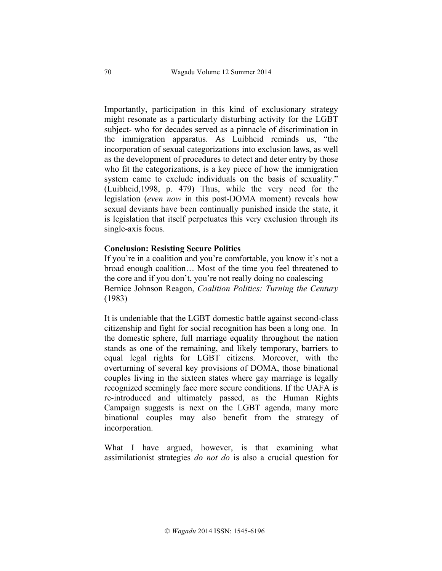Importantly, participation in this kind of exclusionary strategy might resonate as a particularly disturbing activity for the LGBT subject- who for decades served as a pinnacle of discrimination in the immigration apparatus. As Luibheid reminds us, "the incorporation of sexual categorizations into exclusion laws, as well as the development of procedures to detect and deter entry by those who fit the categorizations, is a key piece of how the immigration system came to exclude individuals on the basis of sexuality." (Luibheid,1998, p. 479) Thus, while the very need for the legislation (*even now* in this post-DOMA moment) reveals how sexual deviants have been continually punished inside the state, it is legislation that itself perpetuates this very exclusion through its single-axis focus.

#### **Conclusion: Resisting Secure Politics**

If you're in a coalition and you're comfortable, you know it's not a broad enough coalition… Most of the time you feel threatened to the core and if you don't, you're not really doing no coalescing Bernice Johnson Reagon, *Coalition Politics: Turning the Century* (1983)

It is undeniable that the LGBT domestic battle against second-class citizenship and fight for social recognition has been a long one. In the domestic sphere, full marriage equality throughout the nation stands as one of the remaining, and likely temporary, barriers to equal legal rights for LGBT citizens. Moreover, with the overturning of several key provisions of DOMA, those binational couples living in the sixteen states where gay marriage is legally recognized seemingly face more secure conditions. If the UAFA is re-introduced and ultimately passed, as the Human Rights Campaign suggests is next on the LGBT agenda, many more binational couples may also benefit from the strategy of incorporation.

What I have argued, however, is that examining what assimilationist strategies *do not do* is also a crucial question for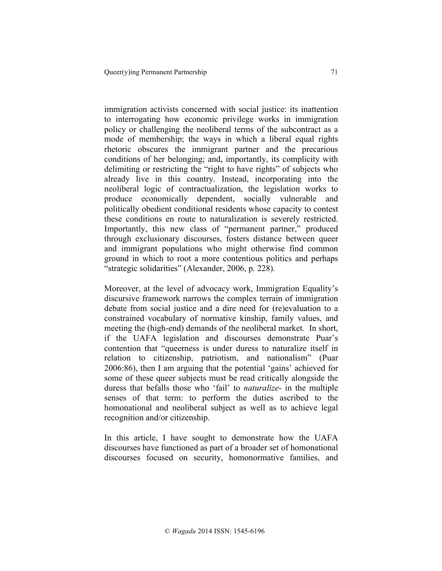immigration activists concerned with social justice: its inattention to interrogating how economic privilege works in immigration policy or challenging the neoliberal terms of the subcontract as a mode of membership; the ways in which a liberal equal rights rhetoric obscures the immigrant partner and the precarious conditions of her belonging; and, importantly, its complicity with delimiting or restricting the "right to have rights" of subjects who already live in this country. Instead, incorporating into the neoliberal logic of contractualization, the legislation works to produce economically dependent, socially vulnerable and politically obedient conditional residents whose capacity to contest these conditions en route to naturalization is severely restricted. Importantly, this new class of "permanent partner," produced through exclusionary discourses, fosters distance between queer and immigrant populations who might otherwise find common ground in which to root a more contentious politics and perhaps "strategic solidarities" (Alexander, 2006, p. 228).

Moreover, at the level of advocacy work, Immigration Equality's discursive framework narrows the complex terrain of immigration debate from social justice and a dire need for (re)evaluation to a constrained vocabulary of normative kinship, family values, and meeting the (high-end) demands of the neoliberal market. In short, if the UAFA legislation and discourses demonstrate Puar's contention that "queerness is under duress to naturalize itself in relation to citizenship, patriotism, and nationalism" (Puar 2006:86), then I am arguing that the potential 'gains' achieved for some of these queer subjects must be read critically alongside the duress that befalls those who 'fail' to *naturalize*- in the multiple senses of that term: to perform the duties ascribed to the homonational and neoliberal subject as well as to achieve legal recognition and/or citizenship.

In this article, I have sought to demonstrate how the UAFA discourses have functioned as part of a broader set of homonational discourses focused on security, homonormative families, and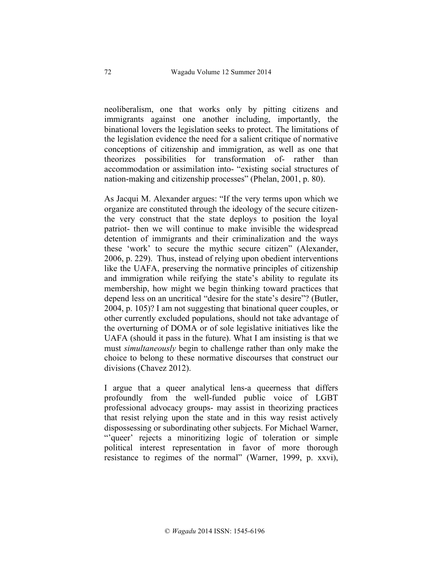neoliberalism, one that works only by pitting citizens and immigrants against one another including, importantly, the binational lovers the legislation seeks to protect. The limitations of the legislation evidence the need for a salient critique of normative conceptions of citizenship and immigration, as well as one that theorizes possibilities for transformation of- rather than accommodation or assimilation into- "existing social structures of nation-making and citizenship processes" (Phelan, 2001, p. 80).

As Jacqui M. Alexander argues: "If the very terms upon which we organize are constituted through the ideology of the secure citizenthe very construct that the state deploys to position the loyal patriot- then we will continue to make invisible the widespread detention of immigrants and their criminalization and the ways these 'work' to secure the mythic secure citizen" (Alexander, 2006, p. 229). Thus, instead of relying upon obedient interventions like the UAFA, preserving the normative principles of citizenship and immigration while reifying the state's ability to regulate its membership, how might we begin thinking toward practices that depend less on an uncritical "desire for the state's desire"? (Butler, 2004, p. 105)? I am not suggesting that binational queer couples, or other currently excluded populations, should not take advantage of the overturning of DOMA or of sole legislative initiatives like the UAFA (should it pass in the future). What I am insisting is that we must *simultaneously* begin to challenge rather than only make the choice to belong to these normative discourses that construct our divisions (Chavez 2012).

I argue that a queer analytical lens-a queerness that differs profoundly from the well-funded public voice of LGBT professional advocacy groups- may assist in theorizing practices that resist relying upon the state and in this way resist actively dispossessing or subordinating other subjects. For Michael Warner, "'queer' rejects a minoritizing logic of toleration or simple political interest representation in favor of more thorough resistance to regimes of the normal" (Warner, 1999, p. xxvi),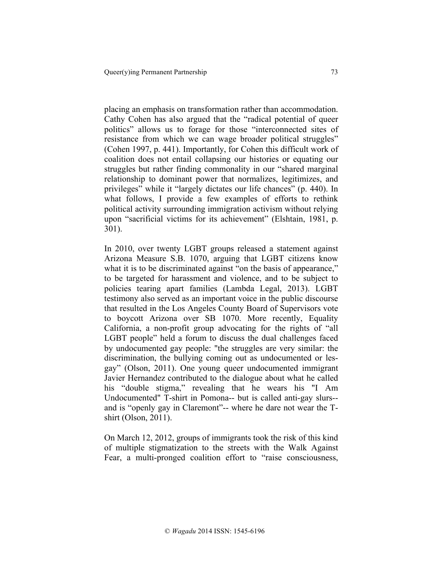placing an emphasis on transformation rather than accommodation. Cathy Cohen has also argued that the "radical potential of queer politics" allows us to forage for those "interconnected sites of resistance from which we can wage broader political struggles" (Cohen 1997, p. 441). Importantly, for Cohen this difficult work of coalition does not entail collapsing our histories or equating our struggles but rather finding commonality in our "shared marginal relationship to dominant power that normalizes, legitimizes, and privileges" while it "largely dictates our life chances" (p. 440). In what follows, I provide a few examples of efforts to rethink political activity surrounding immigration activism without relying upon "sacrificial victims for its achievement" (Elshtain, 1981, p. 301).

In 2010, over twenty LGBT groups released a statement against Arizona Measure S.B. 1070, arguing that LGBT citizens know what it is to be discriminated against "on the basis of appearance," to be targeted for harassment and violence, and to be subject to policies tearing apart families (Lambda Legal, 2013). LGBT testimony also served as an important voice in the public discourse that resulted in the Los Angeles County Board of Supervisors vote to boycott Arizona over SB 1070. More recently, Equality California, a non-profit group advocating for the rights of "all LGBT people" held a forum to discuss the dual challenges faced by undocumented gay people: "the struggles are very similar: the discrimination, the bullying coming out as undocumented or lesgay" (Olson, 2011). One young queer undocumented immigrant Javier Hernandez contributed to the dialogue about what he called his "double stigma," revealing that he wears his "I Am Undocumented" T-shirt in Pomona-- but is called anti-gay slurs- and is "openly gay in Claremont"-- where he dare not wear the Tshirt (Olson, 2011).

On March 12, 2012, groups of immigrants took the risk of this kind of multiple stigmatization to the streets with the Walk Against Fear, a multi-pronged coalition effort to "raise consciousness,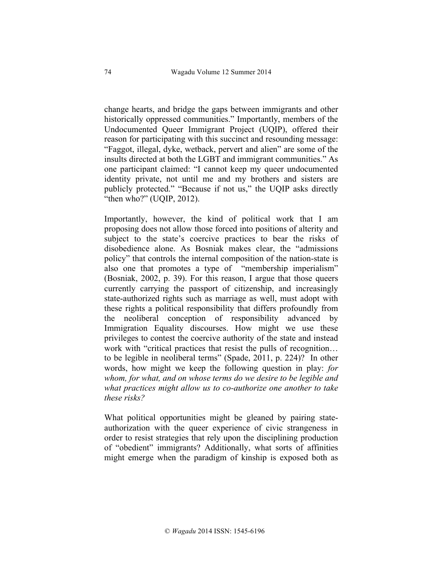change hearts, and bridge the gaps between immigrants and other historically oppressed communities." Importantly, members of the Undocumented Queer Immigrant Project (UQIP), offered their reason for participating with this succinct and resounding message: "Faggot, illegal, dyke, wetback, pervert and alien" are some of the insults directed at both the LGBT and immigrant communities." As one participant claimed: "I cannot keep my queer undocumented identity private, not until me and my brothers and sisters are publicly protected." "Because if not us," the UQIP asks directly "then who?" (UQIP, 2012).

Importantly, however, the kind of political work that I am proposing does not allow those forced into positions of alterity and subject to the state's coercive practices to bear the risks of disobedience alone. As Bosniak makes clear, the "admissions policy" that controls the internal composition of the nation-state is also one that promotes a type of "membership imperialism" (Bosniak, 2002, p. 39). For this reason, I argue that those queers currently carrying the passport of citizenship, and increasingly state-authorized rights such as marriage as well, must adopt with these rights a political responsibility that differs profoundly from the neoliberal conception of responsibility advanced by Immigration Equality discourses. How might we use these privileges to contest the coercive authority of the state and instead work with "critical practices that resist the pulls of recognition... to be legible in neoliberal terms" (Spade, 2011, p. 224)? In other words, how might we keep the following question in play: *for whom, for what, and on whose terms do we desire to be legible and what practices might allow us to co-authorize one another to take these risks?*

What political opportunities might be gleaned by pairing stateauthorization with the queer experience of civic strangeness in order to resist strategies that rely upon the disciplining production of "obedient" immigrants? Additionally, what sorts of affinities might emerge when the paradigm of kinship is exposed both as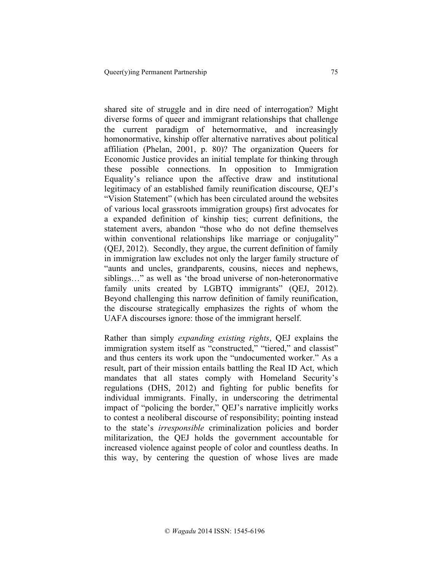shared site of struggle and in dire need of interrogation? Might diverse forms of queer and immigrant relationships that challenge the current paradigm of heternormative, and increasingly homonormative, kinship offer alternative narratives about political affiliation (Phelan, 2001, p. 80)? The organization Queers for Economic Justice provides an initial template for thinking through these possible connections. In opposition to Immigration Equality's reliance upon the affective draw and institutional legitimacy of an established family reunification discourse, QEJ's "Vision Statement" (which has been circulated around the websites of various local grassroots immigration groups) first advocates for a expanded definition of kinship ties; current definitions, the statement avers, abandon "those who do not define themselves within conventional relationships like marriage or conjugality" (QEJ, 2012). Secondly, they argue, the current definition of family in immigration law excludes not only the larger family structure of "aunts and uncles, grandparents, cousins, nieces and nephews, siblings…" as well as 'the broad universe of non-heteronormative family units created by LGBTQ immigrants" (QEJ, 2012). Beyond challenging this narrow definition of family reunification, the discourse strategically emphasizes the rights of whom the UAFA discourses ignore: those of the immigrant herself.

Rather than simply *expanding existing rights*, QEJ explains the immigration system itself as "constructed," "tiered," and classist" and thus centers its work upon the "undocumented worker." As a result, part of their mission entails battling the Real ID Act, which mandates that all states comply with Homeland Security's regulations (DHS, 2012) and fighting for public benefits for individual immigrants. Finally, in underscoring the detrimental impact of "policing the border," QEJ's narrative implicitly works to contest a neoliberal discourse of responsibility; pointing instead to the state's *irresponsible* criminalization policies and border militarization, the QEJ holds the government accountable for increased violence against people of color and countless deaths. In this way, by centering the question of whose lives are made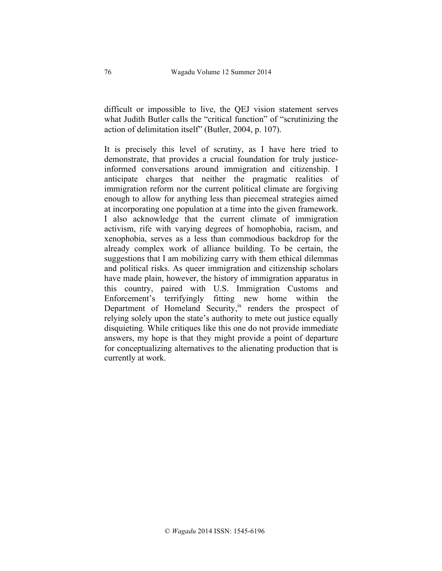difficult or impossible to live, the QEJ vision statement serves what Judith Butler calls the "critical function" of "scrutinizing the action of delimitation itself" (Butler, 2004, p. 107).

It is precisely this level of scrutiny, as I have here tried to demonstrate, that provides a crucial foundation for truly justiceinformed conversations around immigration and citizenship. I anticipate charges that neither the pragmatic realities of immigration reform nor the current political climate are forgiving enough to allow for anything less than piecemeal strategies aimed at incorporating one population at a time into the given framework. I also acknowledge that the current climate of immigration activism, rife with varying degrees of homophobia, racism, and xenophobia, serves as a less than commodious backdrop for the already complex work of alliance building. To be certain, the suggestions that I am mobilizing carry with them ethical dilemmas and political risks. As queer immigration and citizenship scholars have made plain, however, the history of immigration apparatus in this country, paired with U.S. Immigration Customs and Enforcement's terrifyingly fitting new home within the Department of Homeland Security,<sup>ix</sup> renders the prospect of relying solely upon the state's authority to mete out justice equally disquieting. While critiques like this one do not provide immediate answers, my hope is that they might provide a point of departure for conceptualizing alternatives to the alienating production that is currently at work.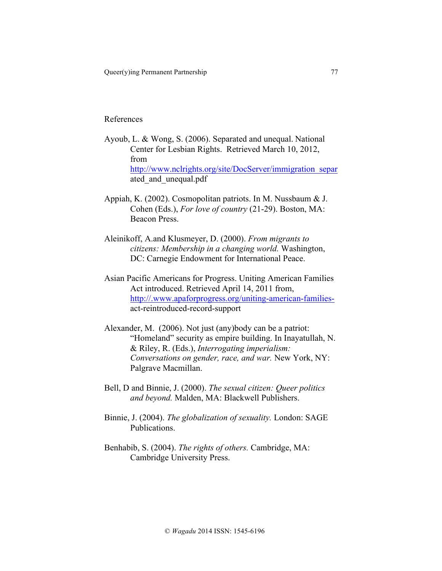#### References

- Ayoub, L. & Wong, S. (2006). Separated and unequal. National Center for Lesbian Rights. Retrieved March 10, 2012, from http://www.nclrights.org/site/DocServer/immigration\_separ ated\_and\_unequal.pdf
- Appiah, K. (2002). Cosmopolitan patriots. In M. Nussbaum & J. Cohen (Eds.), *For love of country* (21-29). Boston, MA: Beacon Press.
- Aleinikoff, A.and Klusmeyer, D. (2000). *From migrants to citizens: Membership in a changing world.* Washington, DC: Carnegie Endowment for International Peace.
- Asian Pacific Americans for Progress. Uniting American Families Act introduced. Retrieved April 14, 2011 from, http://.www.apaforprogress.org/uniting-american-familiesact-reintroduced-record-support
- Alexander, M. (2006). Not just (any)body can be a patriot: "Homeland" security as empire building. In Inayatullah, N. & Riley, R. (Eds.), *Interrogating imperialism: Conversations on gender, race, and war.* New York, NY: Palgrave Macmillan.
- Bell, D and Binnie, J. (2000). *The sexual citizen: Queer politics and beyond.* Malden, MA: Blackwell Publishers.
- Binnie, J. (2004). *The globalization of sexuality.* London: SAGE Publications.
- Benhabib, S. (2004). *The rights of others.* Cambridge, MA: Cambridge University Press.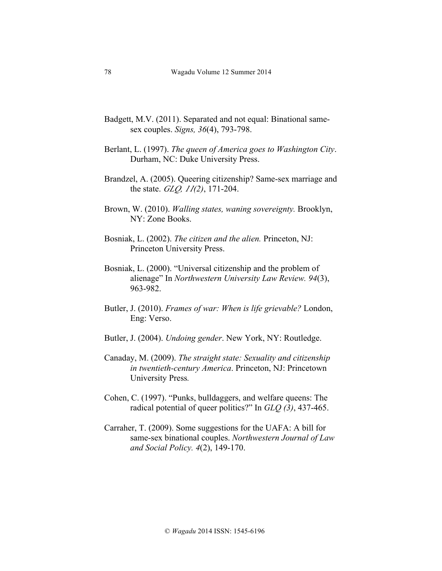- Badgett, M.V. (2011). Separated and not equal: Binational samesex couples. *Signs, 36*(4), 793-798.
- Berlant, L. (1997). *The queen of America goes to Washington City*. Durham, NC: Duke University Press.
- Brandzel, A. (2005). Queering citizenship? Same-sex marriage and the state. *GLQ, <sup>11</sup>(2)*, 171-204.
- Brown, W. (2010). *Walling states, waning sovereignty.* Brooklyn, NY: Zone Books.
- Bosniak, L. (2002). *The citizen and the alien.* Princeton, NJ: Princeton University Press.
- Bosniak, L. (2000). "Universal citizenship and the problem of alienage" In *Northwestern University Law Review. 94*(3), 963-982.
- Butler, J. (2010). *Frames of war: When is life grievable?* London, Eng: Verso.
- Butler, J. (2004). *Undoing gender*. New York, NY: Routledge.
- Canaday, M. (2009). *The straight state: Sexuality and citizenship in twentieth-century America*. Princeton, NJ: Princetown University Press*.*
- Cohen, C. (1997). "Punks, bulldaggers, and welfare queens: The radical potential of queer politics?" In *GLQ (3)*, 437-465.
- Carraher, T. (2009). Some suggestions for the UAFA: A bill for same-sex binational couples. *Northwestern Journal of Law and Social Policy. 4*(2), 149-170.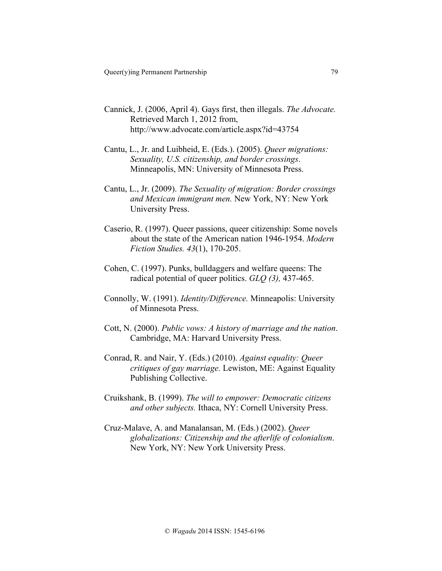- Cannick, J. (2006, April 4). Gays first, then illegals. *The Advocate.* Retrieved March 1, 2012 from, http://www.advocate.com/article.aspx?id=43754
- Cantu, L., Jr. and Luibheid, E. (Eds.). (2005). *Queer migrations: Sexuality, U.S. citizenship, and border crossings*. Minneapolis, MN: University of Minnesota Press.
- Cantu, L., Jr. (2009). *The Sexuality of migration: Border crossings and Mexican immigrant men.* New York, NY: New York University Press.
- Caserio, R. (1997). Queer passions, queer citizenship: Some novels about the state of the American nation 1946-1954. *Modern Fiction Studies. 43*(1), 170-205.
- Cohen, C. (1997). Punks, bulldaggers and welfare queens: The radical potential of queer politics. *GLQ (3),* 437-465.
- Connolly, W. (1991). *Identity/Difference.* Minneapolis: University of Minnesota Press.
- Cott, N. (2000). *Public vows: A history of marriage and the nation*. Cambridge, MA: Harvard University Press.
- Conrad, R. and Nair, Y. (Eds.) (2010). *Against equality: Queer critiques of gay marriage.* Lewiston, ME: Against Equality Publishing Collective.
- Cruikshank, B. (1999). *The will to empower: Democratic citizens and other subjects.* Ithaca, NY: Cornell University Press.
- Cruz-Malave, A. and Manalansan, M. (Eds.) (2002). *Queer globalizations: Citizenship and the afterlife of colonialism*. New York, NY: New York University Press.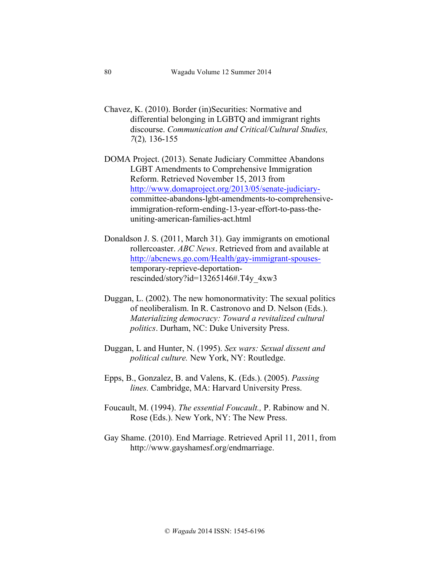- Chavez, K. (2010). Border (in)Securities: Normative and differential belonging in LGBTQ and immigrant rights discourse. *Communication and Critical/Cultural Studies, 7*(2)*,* 136-155
- DOMA Project. (2013). Senate Judiciary Committee Abandons LGBT Amendments to Comprehensive Immigration Reform. Retrieved November 15, 2013 from http://www.domaproject.org/2013/05/senate-judiciarycommittee-abandons-lgbt-amendments-to-comprehensiveimmigration-reform-ending-13-year-effort-to-pass-theuniting-american-families-act.html
- Donaldson J. S. (2011, March 31). Gay immigrants on emotional rollercoaster. *ABC News*. Retrieved from and available at http://abcnews.go.com/Health/gay-immigrant-spousestemporary-reprieve-deportationrescinded/story?id=13265146#.T4y\_4xw3
- Duggan, L. (2002). The new homonormativity: The sexual politics of neoliberalism. In R. Castronovo and D. Nelson (Eds.). *Materializing democracy: Toward a revitalized cultural politics*. Durham, NC: Duke University Press.
- Duggan, L and Hunter, N. (1995). *Sex wars: Sexual dissent and political culture.* New York, NY: Routledge.
- Epps, B., Gonzalez, B. and Valens, K. (Eds.). (2005). *Passing lines.* Cambridge, MA: Harvard University Press.
- Foucault, M. (1994). *The essential Foucault.,* P. Rabinow and N. Rose (Eds.). New York, NY: The New Press.
- Gay Shame. (2010). End Marriage. Retrieved April 11, 2011, from http://www.gayshamesf.org/endmarriage.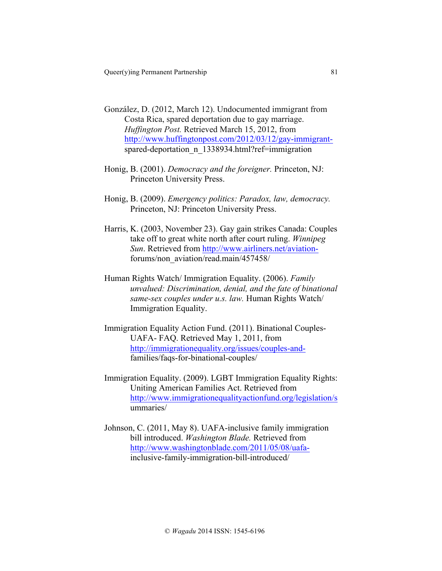- González, D. (2012, March 12). Undocumented immigrant from Costa Rica, spared deportation due to gay marriage. *Huffington Post.* Retrieved March 15, 2012, from http://www.huffingtonpost.com/2012/03/12/gay-immigrantspared-deportation n 1338934.html?ref=immigration
- Honig, B. (2001). *Democracy and the foreigner.* Princeton, NJ: Princeton University Press.
- Honig, B. (2009). *Emergency politics: Paradox, law, democracy.*  Princeton, NJ: Princeton University Press.
- Harris, K. (2003, November 23). Gay gain strikes Canada: Couples take off to great white north after court ruling. *Winnipeg Sun*. Retrieved from http://www.airliners.net/aviationforums/non\_aviation/read.main/457458/
- Human Rights Watch/ Immigration Equality. (2006). *Family unvalued: Discrimination, denial, and the fate of binational same-sex couples under u.s. law.* Human Rights Watch/ Immigration Equality.
- Immigration Equality Action Fund. (2011). Binational Couples-UAFA- FAQ. Retrieved May 1, 2011, from http://immigrationequality.org/issues/couples-andfamilies/faqs-for-binational-couples/
- Immigration Equality. (2009). LGBT Immigration Equality Rights: Uniting American Families Act. Retrieved from http://www.immigrationequalityactionfund.org/legislation/s ummaries/
- Johnson, C. (2011, May 8). UAFA-inclusive family immigration bill introduced. *Washington Blade.* Retrieved from http://www.washingtonblade.com/2011/05/08/uafainclusive-family-immigration-bill-introduced/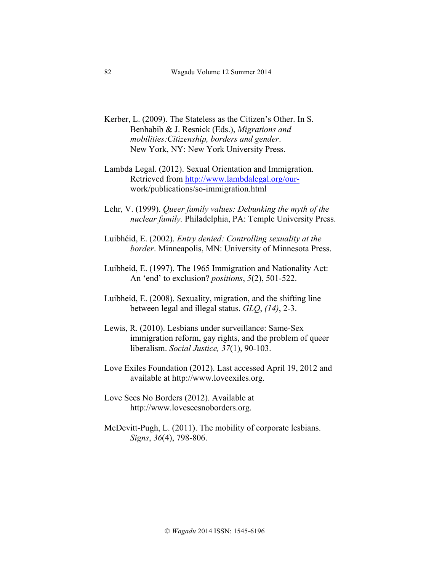- Kerber, L. (2009). The Stateless as the Citizen's Other. In S. Benhabib & J. Resnick (Eds.), *Migrations and mobilities:Citizenship, borders and gender*. New York, NY: New York University Press.
- Lambda Legal. (2012). Sexual Orientation and Immigration. Retrieved from http://www.lambdalegal.org/ourwork/publications/so-immigration.html
- Lehr, V. (1999). *Queer family values: Debunking the myth of the nuclear family.* Philadelphia, PA: Temple University Press.
- Luibhéid, E. (2002). *Entry denied: Controlling sexuality at the border*. Minneapolis, MN: University of Minnesota Press.
- Luibheid, E. (1997). The 1965 Immigration and Nationality Act: An 'end' to exclusion? *positions*, *5*(2), 501-522.
- Luibheid, E. (2008). Sexuality, migration, and the shifting line between legal and illegal status. *GLQ*, *(14)*, 2-3.
- Lewis, R. (2010). Lesbians under surveillance: Same-Sex immigration reform, gay rights, and the problem of queer liberalism. *Social Justice, 37*(1), 90-103.
- Love Exiles Foundation (2012). Last accessed April 19, 2012 and available at http://www.loveexiles.org.
- Love Sees No Borders (2012). Available at http://www.loveseesnoborders.org.
- McDevitt-Pugh, L. (2011). The mobility of corporate lesbians. *Signs*, *36*(4), 798-806.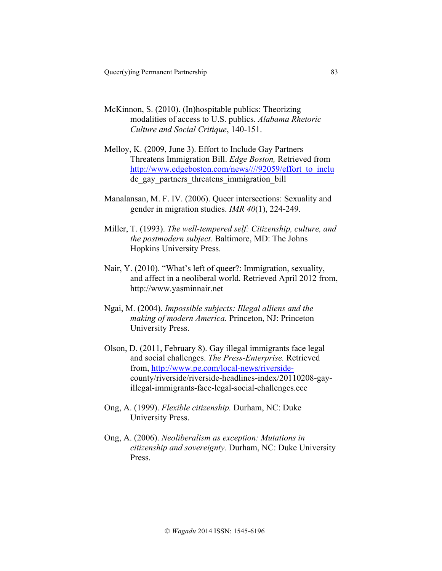- McKinnon, S. (2010). (In)hospitable publics: Theorizing modalities of access to U.S. publics. *Alabama Rhetoric Culture and Social Critique*, 140-151.
- Melloy, K. (2009, June 3). Effort to Include Gay Partners Threatens Immigration Bill. *Edge Boston,* Retrieved from http://www.edgeboston.com/news////92059/effort\_to\_inclu de gay partners threatens immigration bill
- Manalansan, M. F. IV. (2006). Queer intersections: Sexuality and gender in migration studies. *IMR 40*(1), 224-249.
- Miller, T. (1993). *The well-tempered self: Citizenship, culture, and the postmodern subject.* Baltimore, MD: The Johns Hopkins University Press.
- Nair, Y. (2010). "What's left of queer?: Immigration, sexuality, and affect in a neoliberal world. Retrieved April 2012 from, http://www.yasminnair.net
- Ngai, M. (2004). *Impossible subjects: Illegal alliens and the making of modern America.* Princeton, NJ: Princeton University Press.
- Olson, D. (2011, February 8). Gay illegal immigrants face legal and social challenges. *The Press-Enterprise.* Retrieved from, http://www.pe.com/local-news/riversidecounty/riverside/riverside-headlines-index/20110208-gayillegal-immigrants-face-legal-social-challenges.ece
- Ong, A. (1999). *Flexible citizenship.* Durham, NC: Duke University Press.
- Ong, A. (2006). *Neoliberalism as exception: Mutations in citizenship and sovereignty.* Durham, NC: Duke University Press.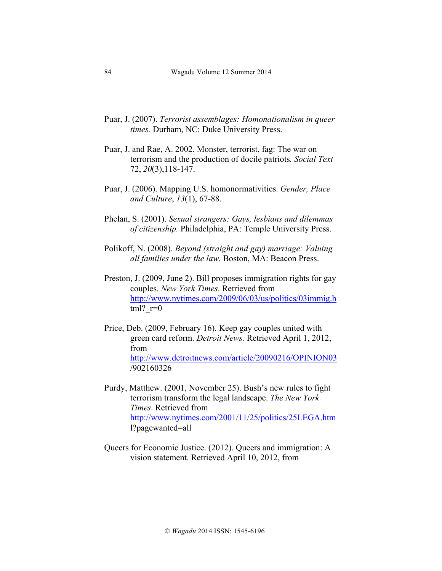- Puar, J. (2007). *Terrorist assemblages: Homonationalism in queer times.* Durham, NC: Duke University Press.
- Puar, J. and Rae, A. 2002. Monster, terrorist, fag: The war on terrorism and the production of docile patriots*. Social Text* 72, *20*(3),118-147.
- Puar, J. (2006). Mapping U.S. homonormativities. *Gender, Place and Culture*, *13*(1), 67-88.
- Phelan, S. (2001). *Sexual strangers: Gays, lesbians and dilemmas of citizenship.* Philadelphia, PA: Temple University Press.
- Polikoff, N. (2008). *Beyond (straight and gay) marriage: Valuing all families under the law.* Boston, MA: Beacon Press.
- Preston, J. (2009, June 2). Bill proposes immigration rights for gay couples. *New York Times*. Retrieved from http://www.nytimes.com/2009/06/03/us/politics/03immig.h tml?  $r=0$
- Price, Deb. (2009, February 16). Keep gay couples united with green card reform. *Detroit News.* Retrieved April 1, 2012, from http://www.detroitnews.com/article/20090216/OPINION03 /902160326
- Purdy, Matthew. (2001, November 25). Bush's new rules to fight terrorism transform the legal landscape. *The New York Times*. Retrieved from http://www.nytimes.com/2001/11/25/politics/25LEGA.htm l?pagewanted=all
- Queers for Economic Justice. (2012). Queers and immigration: A vision statement. Retrieved April 10, 2012, from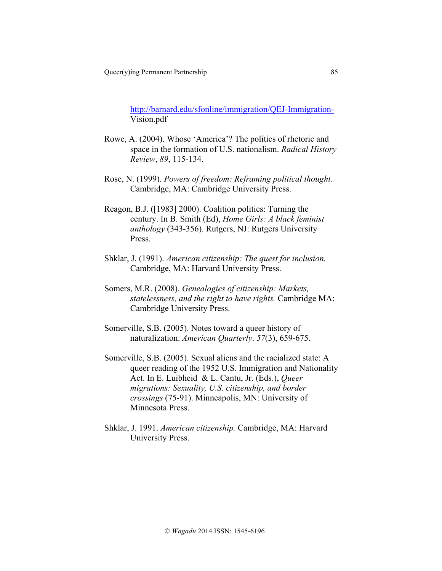http://barnard.edu/sfonline/immigration/QEJ-Immigration-Vision.pdf

- Rowe, A. (2004). Whose 'America'? The politics of rhetoric and space in the formation of U.S. nationalism. *Radical History Review*, *89*, 115-134.
- Rose, N. (1999). *Powers of freedom: Reframing political thought.* Cambridge, MA: Cambridge University Press.
- Reagon, B.J. ([1983] 2000). Coalition politics: Turning the century. In B. Smith (Ed), *Home Girls: A black feminist anthology* (343-356). Rutgers, NJ: Rutgers University Press.
- Shklar, J. (1991). *American citizenship: The quest for inclusion.*  Cambridge, MA: Harvard University Press.
- Somers, M.R. (2008). *Genealogies of citizenship: Markets, statelessness, and the right to have rights.* Cambridge MA: Cambridge University Press.
- Somerville, S.B. (2005). Notes toward a queer history of naturalization. *American Quarterly*. *57*(3), 659-675.
- Somerville, S.B. (2005). Sexual aliens and the racialized state: A queer reading of the 1952 U.S. Immigration and Nationality Act. In E. Luibheid & L. Cantu, Jr. (Eds.), *Queer migrations: Sexuality, U.S. citizenship, and border crossings* (75-91). Minneapolis, MN: University of Minnesota Press.
- Shklar, J. 1991. *American citizenship.* Cambridge, MA: Harvard University Press.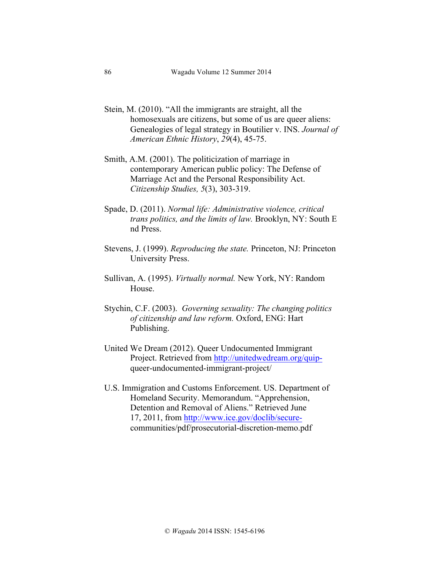- Stein, M. (2010). "All the immigrants are straight, all the homosexuals are citizens, but some of us are queer aliens: Genealogies of legal strategy in Boutilier v. INS. *Journal of American Ethnic History*, *29*(4), 45-75.
- Smith, A.M. (2001). The politicization of marriage in contemporary American public policy: The Defense of Marriage Act and the Personal Responsibility Act. *Citizenship Studies, 5*(3), 303-319.
- Spade, D. (2011). *Normal life: Administrative violence, critical trans politics, and the limits of law.* Brooklyn, NY: South E nd Press.
- Stevens, J. (1999). *Reproducing the state.* Princeton, NJ: Princeton University Press.
- Sullivan, A. (1995). *Virtually normal.* New York, NY: Random House.
- Stychin, C.F. (2003). *Governing sexuality: The changing politics of citizenship and law reform.* Oxford, ENG: Hart Publishing.
- United We Dream (2012). Queer Undocumented Immigrant Project. Retrieved from http://unitedwedream.org/quipqueer-undocumented-immigrant-project/
- U.S. Immigration and Customs Enforcement. US. Department of Homeland Security. Memorandum. "Apprehension, Detention and Removal of Aliens." Retrieved June 17, 2011, from http://www.ice.gov/doclib/securecommunities/pdf/prosecutorial-discretion-memo.pdf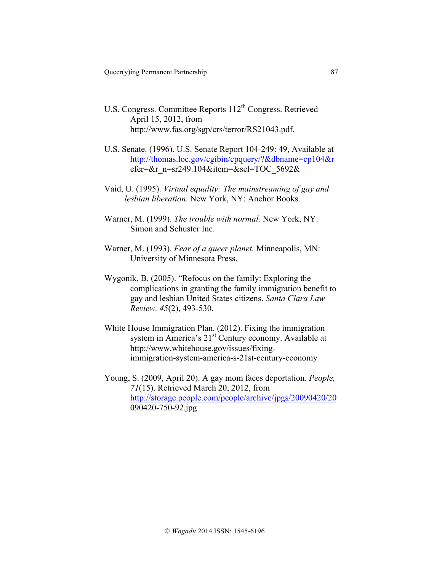- U.S. Congress. Committee Reports 112<sup>th</sup> Congress. Retrieved April 15, 2012, from http://www.fas.org/sgp/crs/terror/RS21043.pdf.
- U.S. Senate. (1996). U.S. Senate Report 104-249: 49, Available at http://thomas.loc.gov/cgibin/cpquery/?&dbname=cp104&r efer=&r\_n=sr249.104&item=&sel=TOC\_5692&
- Vaid, U. (1995). *Virtual equality: The mainstreaming of gay and lesbian liberation*. New York, NY: Anchor Books.
- Warner, M. (1999). *The trouble with normal.* New York, NY: Simon and Schuster Inc.
- Warner, M. (1993). *Fear of a queer planet.* Minneapolis, MN: University of Minnesota Press.
- Wygonik, B. (2005). "Refocus on the family: Exploring the complications in granting the family immigration benefit to gay and lesbian United States citizens. *Santa Clara Law Review. 45*(2), 493-530.
- White House Immigration Plan. (2012). Fixing the immigration system in America's 21<sup>st</sup> Century economy. Available at http://www.whitehouse.gov/issues/fixingimmigration-system-america-s-21st-century-economy
- Young, S. (2009, April 20). A gay mom faces deportation. *People, 71*(15). Retrieved March 20, 2012, from http://storage.people.com/people/archive/jpgs/20090420/20 090420-750-92.jpg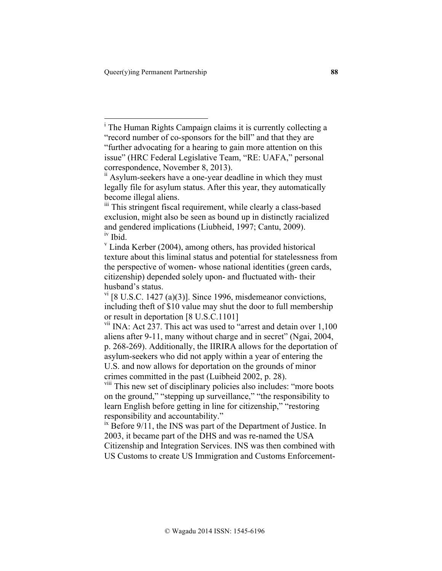|<br>i <sup>i</sup> The Human Rights Campaign claims it is currently collecting a "record number of co-sponsors for the bill" and that they are "further advocating for a hearing to gain more attention on this issue" (HRC Federal Legislative Team, "RE: UAFA," personal correspondence, November 8, 2013).

viii This new set of disciplinary policies also includes: "more boots on the ground," "stepping up surveillance," "the responsibility to learn English before getting in line for citizenship," "restoring responsibility and accountability."

 $\frac{1}{1}$ <sup>ix</sup> Before 9/11, the INS was part of the Department of Justice. In 2003, it became part of the DHS and was re-named the USA Citizenship and Integration Services. INS was then combined with US Customs to create US Immigration and Customs Enforcement-

<sup>&</sup>lt;sup>ii</sup> Asylum-seekers have a one-year deadline in which they must legally file for asylum status. After this year, they automatically become illegal aliens.

<sup>&</sup>lt;sup>iii</sup> This stringent fiscal requirement, while clearly a class-based exclusion, might also be seen as bound up in distinctly racialized and gendered implications (Liubheid, 1997; Cantu, 2009).<br><sup>iv</sup> Ibid.

<sup>&</sup>lt;sup>v</sup> Linda Kerber (2004), among others, has provided historical texture about this liminal status and potential for statelessness from the perspective of women- whose national identities (green cards, citizenship) depended solely upon- and fluctuated with- their husband's status.

 $V<sup>T</sup>$  [8 U.S.C. 1427 (a)(3)]. Since 1996, misdemeanor convictions, including theft of \$10 value may shut the door to full membership or result in deportation [8 U.S.C.1101]

<sup>&</sup>lt;sup>vii</sup> INA: Act 237. This act was used to "arrest and detain over 1,100 aliens after 9-11, many without charge and in secret" (Ngai, 2004, p. 268-269). Additionally, the IIRIRA allows for the deportation of asylum-seekers who did not apply within a year of entering the U.S. and now allows for deportation on the grounds of minor crimes committed in the past (Luibheid 2002, p. 28).